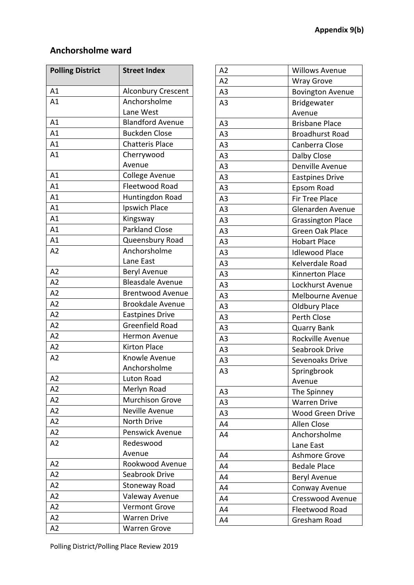### **Anchorsholme ward**

| <b>Polling District</b> | <b>Street Index</b>       |
|-------------------------|---------------------------|
| A1                      | <b>Alconbury Crescent</b> |
| A1                      | Anchorsholme              |
|                         | Lane West                 |
| A1                      | <b>Blandford Avenue</b>   |
| A1                      | <b>Buckden Close</b>      |
| A1                      | <b>Chatteris Place</b>    |
| A <sub>1</sub>          | Cherrywood                |
|                         | Avenue                    |
| A1                      | <b>College Avenue</b>     |
| A1                      | Fleetwood Road            |
| A1                      | Huntingdon Road           |
| A1                      | Ipswich Place             |
| A1                      | Kingsway                  |
| A1                      | <b>Parkland Close</b>     |
| A1                      | Queensbury Road           |
| A <sub>2</sub>          | Anchorsholme              |
|                         | Lane East                 |
| A2                      | Beryl Avenue              |
| A <sub>2</sub>          | <b>Bleasdale Avenue</b>   |
| A <sub>2</sub>          | <b>Brentwood Avenue</b>   |
| A2                      | <b>Brookdale Avenue</b>   |
| A <sub>2</sub>          | <b>Eastpines Drive</b>    |
| A <sub>2</sub>          | <b>Greenfield Road</b>    |
| A2                      | <b>Hermon Avenue</b>      |
| A <sub>2</sub>          | <b>Kirton Place</b>       |
| A <sub>2</sub>          | Knowle Avenue             |
|                         | Anchorsholme              |
| A <sub>2</sub>          | Luton Road                |
| A2                      | Merlyn Road               |
| A2                      | <b>Murchison Grove</b>    |
| A2                      | Neville Avenue            |
| A2                      | North Drive               |
| A2                      | Penswick Avenue           |
| A2                      | Redeswood                 |
|                         | Avenue                    |
| A <sub>2</sub>          | Rookwood Avenue           |
| A2                      | Seabrook Drive            |
| A <sub>2</sub>          | Stoneway Road             |
| A2                      | Valeway Avenue            |
| A2                      | <b>Vermont Grove</b>      |
| A <sub>2</sub>          | <b>Warren Drive</b>       |
| A2                      | <b>Warren Grove</b>       |

| A2             | <b>Willows Avenue</b>    |
|----------------|--------------------------|
| A2             | <b>Wray Grove</b>        |
| A <sub>3</sub> | <b>Bovington Avenue</b>  |
| A <sub>3</sub> | Bridgewater              |
|                | Avenue                   |
| A <sub>3</sub> | <b>Brisbane Place</b>    |
| A <sub>3</sub> | <b>Broadhurst Road</b>   |
| A <sub>3</sub> | Canberra Close           |
| A <sub>3</sub> | Dalby Close              |
| A <sub>3</sub> | Denville Avenue          |
| A <sub>3</sub> | <b>Eastpines Drive</b>   |
| A <sub>3</sub> | Epsom Road               |
| A <sub>3</sub> | Fir Tree Place           |
| A <sub>3</sub> | Glenarden Avenue         |
| A <sub>3</sub> | <b>Grassington Place</b> |
| A <sub>3</sub> | Green Oak Place          |
| A3             | <b>Hobart Place</b>      |
| A <sub>3</sub> | <b>Idlewood Place</b>    |
| A <sub>3</sub> | Kelverdale Road          |
| A <sub>3</sub> | Kinnerton Place          |
| A <sub>3</sub> | Lockhurst Avenue         |
| A <sub>3</sub> | Melbourne Avenue         |
| A <sub>3</sub> | <b>Oldbury Place</b>     |
| A <sub>3</sub> | Perth Close              |
| A <sub>3</sub> | <b>Quarry Bank</b>       |
| A <sub>3</sub> | Rockville Avenue         |
| A <sub>3</sub> | Seabrook Drive           |
| A3             | Sevenoaks Drive          |
| A <sub>3</sub> | Springbrook              |
|                | Avenue                   |
| A3             | The Spinney              |
| A3             | <b>Warren Drive</b>      |
| A <sub>3</sub> | <b>Wood Green Drive</b>  |
| A4             | <b>Allen Close</b>       |
| A4             | Anchorsholme             |
|                | Lane East                |
| A4             | <b>Ashmore Grove</b>     |
| A4             | <b>Bedale Place</b>      |
| A4             | <b>Beryl Avenue</b>      |
| A4             | Conway Avenue            |
| A4             | <b>Cresswood Avenue</b>  |
| A4             | Fleetwood Road           |
| A4             | Gresham Road             |
|                |                          |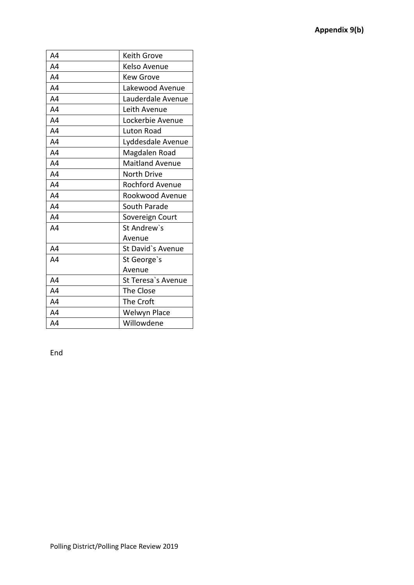| A4             | <b>Keith Grove</b>     |
|----------------|------------------------|
| A4             | Kelso Avenue           |
| A4             | <b>Kew Grove</b>       |
| A4             | Lakewood Avenue        |
| A4             | Lauderdale Avenue      |
| A4             | Leith Avenue           |
| A <sub>4</sub> | Lockerbie Avenue       |
| A4             | Luton Road             |
| A4             | Lyddesdale Avenue      |
| A4             | Magdalen Road          |
| A <sub>4</sub> | <b>Maitland Avenue</b> |
| A <sub>4</sub> | <b>North Drive</b>     |
| A4             | Rochford Avenue        |
| A4             | Rookwood Avenue        |
| A4             | South Parade           |
| A4             | Sovereign Court        |
| A4             | St Andrew's            |
|                | Avenue                 |
| A4             | St David's Avenue      |
| A4             | St George's            |
|                | Avenue                 |
| A4             | St Teresa's Avenue     |
| A4             | The Close              |
| A4             | The Croft              |
| A4             | Welwyn Place           |
| A4             | Willowdene             |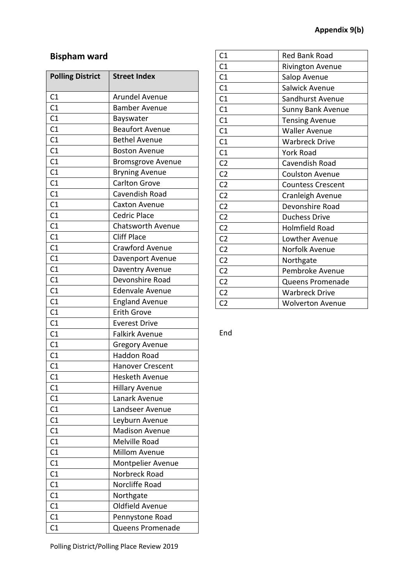## **Bispham ward**

| <b>Polling District</b> | <b>Street Index</b>      |
|-------------------------|--------------------------|
| C1                      | Arundel Avenue           |
| C1                      | <b>Bamber Avenue</b>     |
| C1                      | Bayswater                |
| C <sub>1</sub>          | <b>Beaufort Avenue</b>   |
| C1                      | <b>Bethel Avenue</b>     |
| C1                      | <b>Boston Avenue</b>     |
| C1                      | <b>Bromsgrove Avenue</b> |
| C1                      | <b>Bryning Avenue</b>    |
| C1                      | <b>Carlton Grove</b>     |
| C1                      | Cavendish Road           |
| C1                      | <b>Caxton Avenue</b>     |
| C1                      | <b>Cedric Place</b>      |
| C1                      | Chatsworth Avenue        |
| C1                      | <b>Cliff Place</b>       |
| C <sub>1</sub>          | <b>Crawford Avenue</b>   |
| C <sub>1</sub>          | Davenport Avenue         |
| C1                      | Daventry Avenue          |
| C1                      | Devonshire Road          |
| C1                      | <b>Edenvale Avenue</b>   |
| C1                      | <b>England Avenue</b>    |
| C <sub>1</sub>          | <b>Erith Grove</b>       |
| C1                      | <b>Everest Drive</b>     |
| C1                      | <b>Falkirk Avenue</b>    |
| C1                      | <b>Gregory Avenue</b>    |
| C <sub>1</sub>          | <b>Haddon Road</b>       |
| C1                      | <b>Hanover Crescent</b>  |
| C1                      | <b>Hesketh Avenue</b>    |
| C1                      | <b>Hillary Avenue</b>    |
| C1                      | Lanark Avenue            |
| C1                      | Landseer Avenue          |
| C1                      | Leyburn Avenue           |
| C1                      | <b>Madison Avenue</b>    |
| C <sub>1</sub>          | Melville Road            |
| C1                      | <b>Millom Avenue</b>     |
| C1                      | <b>Montpelier Avenue</b> |
| C1                      | Norbreck Road            |
| C1                      | Norcliffe Road           |
| C1                      | Northgate                |
| C1                      | <b>Oldfield Avenue</b>   |
| C1                      | Pennystone Road          |
| C1                      | Queens Promenade         |

| C1             | <b>Red Bank Road</b>     |
|----------------|--------------------------|
| C1             | Rivington Avenue         |
| C1             | Salop Avenue             |
| C1             | Salwick Avenue           |
| C1             | Sandhurst Avenue         |
| C1             | <b>Sunny Bank Avenue</b> |
| C1             | <b>Tensing Avenue</b>    |
| C1             | <b>Waller Avenue</b>     |
| C <sub>1</sub> | <b>Warbreck Drive</b>    |
| C1             | <b>York Road</b>         |
| C <sub>2</sub> | Cavendish Road           |
| C <sub>2</sub> | <b>Coulston Avenue</b>   |
| C <sub>2</sub> | <b>Countess Crescent</b> |
| C <sub>2</sub> | Cranleigh Avenue         |
| C <sub>2</sub> | Devonshire Road          |
| C <sub>2</sub> | <b>Duchess Drive</b>     |
| C <sub>2</sub> | <b>Holmfield Road</b>    |
| C <sub>2</sub> | Lowther Avenue           |
| C <sub>2</sub> | Norfolk Avenue           |
| C <sub>2</sub> | Northgate                |
| C <sub>2</sub> | Pembroke Avenue          |
| C <sub>2</sub> | Queens Promenade         |
| C <sub>2</sub> | <b>Warbreck Drive</b>    |
| C <sub>2</sub> | <b>Wolverton Avenue</b>  |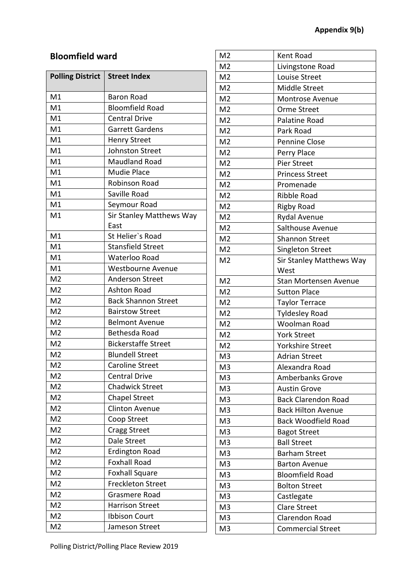## **Bloomfield ward**

| <b>Polling District</b> | <b>Street Index</b>        |
|-------------------------|----------------------------|
| M1                      | <b>Baron Road</b>          |
| M1                      | <b>Bloomfield Road</b>     |
| M1                      | <b>Central Drive</b>       |
| M1                      | <b>Garrett Gardens</b>     |
| M1                      | <b>Henry Street</b>        |
| M1                      | <b>Johnston Street</b>     |
| M1                      | <b>Maudland Road</b>       |
| M1                      | <b>Mudie Place</b>         |
| M1                      | Robinson Road              |
| M1                      | Saville Road               |
| M <sub>1</sub>          | Seymour Road               |
| M1                      | Sir Stanley Matthews Way   |
|                         | East                       |
| M1                      | St Helier's Road           |
| M1                      | <b>Stansfield Street</b>   |
| M1                      | Waterloo Road              |
| M1                      | <b>Westbourne Avenue</b>   |
| M <sub>2</sub>          | <b>Anderson Street</b>     |
| M <sub>2</sub>          | <b>Ashton Road</b>         |
| M <sub>2</sub>          | <b>Back Shannon Street</b> |
| M <sub>2</sub>          | <b>Bairstow Street</b>     |
| M <sub>2</sub>          | <b>Belmont Avenue</b>      |
| M <sub>2</sub>          | Bethesda Road              |
| M <sub>2</sub>          | <b>Bickerstaffe Street</b> |
| M <sub>2</sub>          | <b>Blundell Street</b>     |
| M <sub>2</sub>          | <b>Caroline Street</b>     |
| M <sub>2</sub>          | <b>Central Drive</b>       |
| M <sub>2</sub>          | <b>Chadwick Street</b>     |
| M <sub>2</sub>          | <b>Chapel Street</b>       |
| M <sub>2</sub>          | <b>Clinton Avenue</b>      |
| M <sub>2</sub>          | Coop Street                |
| M <sub>2</sub>          | <b>Cragg Street</b>        |
| M <sub>2</sub>          | Dale Street                |
| M <sub>2</sub>          | <b>Erdington Road</b>      |
| M <sub>2</sub>          | <b>Foxhall Road</b>        |
| M <sub>2</sub>          | <b>Foxhall Square</b>      |
| M <sub>2</sub>          | <b>Freckleton Street</b>   |
| M <sub>2</sub>          | Grasmere Road              |
| M <sub>2</sub>          | <b>Harrison Street</b>     |
| M <sub>2</sub>          | <b>Ibbison Court</b>       |
| M <sub>2</sub>          | Jameson Street             |

| M <sub>2</sub> | Kent Road                    |
|----------------|------------------------------|
| M <sub>2</sub> | Livingstone Road             |
| M <sub>2</sub> | Louise Street                |
| M <sub>2</sub> | Middle Street                |
| M <sub>2</sub> | <b>Montrose Avenue</b>       |
| M <sub>2</sub> | Orme Street                  |
| M <sub>2</sub> | Palatine Road                |
| M <sub>2</sub> | Park Road                    |
| M <sub>2</sub> | <b>Pennine Close</b>         |
| M <sub>2</sub> | Perry Place                  |
| M <sub>2</sub> | Pier Street                  |
|                |                              |
| M <sub>2</sub> | <b>Princess Street</b>       |
| M <sub>2</sub> | Promenade                    |
| M <sub>2</sub> | <b>Ribble Road</b>           |
| M <sub>2</sub> | <b>Rigby Road</b>            |
| M <sub>2</sub> | <b>Rydal Avenue</b>          |
| M <sub>2</sub> | Salthouse Avenue             |
| M <sub>2</sub> | <b>Shannon Street</b>        |
| M <sub>2</sub> | Singleton Street             |
| M <sub>2</sub> | Sir Stanley Matthews Way     |
|                | West                         |
| M <sub>2</sub> | <b>Stan Mortensen Avenue</b> |
| M <sub>2</sub> | <b>Sutton Place</b>          |
| M <sub>2</sub> | <b>Taylor Terrace</b>        |
| M <sub>2</sub> | <b>Tyldesley Road</b>        |
| M <sub>2</sub> | Woolman Road                 |
| M <sub>2</sub> | <b>York Street</b>           |
| M <sub>2</sub> | <b>Yorkshire Street</b>      |
| M3             | <b>Adrian Street</b>         |
| M <sub>3</sub> | Alexandra Road               |
| M <sub>3</sub> | <b>Amberbanks Grove</b>      |
| M <sub>3</sub> | <b>Austin Grove</b>          |
| M <sub>3</sub> | <b>Back Clarendon Road</b>   |
| M <sub>3</sub> | <b>Back Hilton Avenue</b>    |
| M <sub>3</sub> | <b>Back Woodfield Road</b>   |
| M <sub>3</sub> | <b>Bagot Street</b>          |
| M <sub>3</sub> | <b>Ball Street</b>           |
| M <sub>3</sub> | <b>Barham Street</b>         |
| M <sub>3</sub> | <b>Barton Avenue</b>         |
| M <sub>3</sub> | <b>Bloomfield Road</b>       |
| M <sub>3</sub> | <b>Bolton Street</b>         |
| M <sub>3</sub> | Castlegate                   |
| M <sub>3</sub> | <b>Clare Street</b>          |
| M <sub>3</sub> | Clarendon Road               |
| M <sub>3</sub> | <b>Commercial Street</b>     |
|                |                              |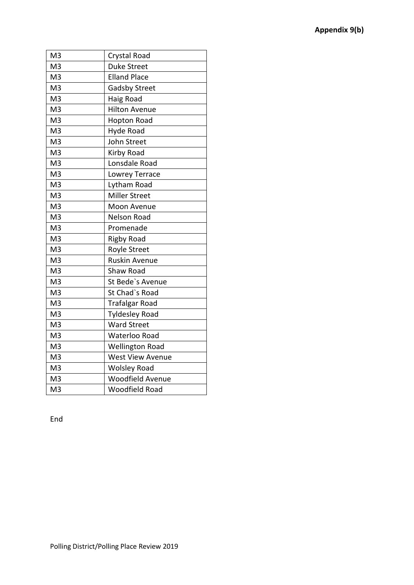| M <sub>3</sub> | Crystal Road            |
|----------------|-------------------------|
| M <sub>3</sub> | <b>Duke Street</b>      |
| M <sub>3</sub> | <b>Elland Place</b>     |
| M <sub>3</sub> | <b>Gadsby Street</b>    |
| M <sub>3</sub> | Haig Road               |
| M <sub>3</sub> | <b>Hilton Avenue</b>    |
| M <sub>3</sub> | <b>Hopton Road</b>      |
| M <sub>3</sub> | Hyde Road               |
| M <sub>3</sub> | John Street             |
| M <sub>3</sub> | Kirby Road              |
| M <sub>3</sub> | Lonsdale Road           |
| M <sub>3</sub> | Lowrey Terrace          |
| M <sub>3</sub> | Lytham Road             |
| M <sub>3</sub> | <b>Miller Street</b>    |
| M <sub>3</sub> | Moon Avenue             |
| M <sub>3</sub> | <b>Nelson Road</b>      |
| M <sub>3</sub> | Promenade               |
| M <sub>3</sub> | <b>Rigby Road</b>       |
| M <sub>3</sub> | <b>Royle Street</b>     |
| M <sub>3</sub> | <b>Ruskin Avenue</b>    |
| M <sub>3</sub> | Shaw Road               |
| M <sub>3</sub> | St Bede's Avenue        |
| M <sub>3</sub> | St Chad's Road          |
| M <sub>3</sub> | Trafalgar Road          |
| M <sub>3</sub> | <b>Tyldesley Road</b>   |
| M <sub>3</sub> | <b>Ward Street</b>      |
| M <sub>3</sub> | Waterloo Road           |
| M <sub>3</sub> | <b>Wellington Road</b>  |
| M <sub>3</sub> | <b>West View Avenue</b> |
| M <sub>3</sub> | <b>Wolsley Road</b>     |
| M <sub>3</sub> | <b>Woodfield Avenue</b> |
| M <sub>3</sub> | Woodfield Road          |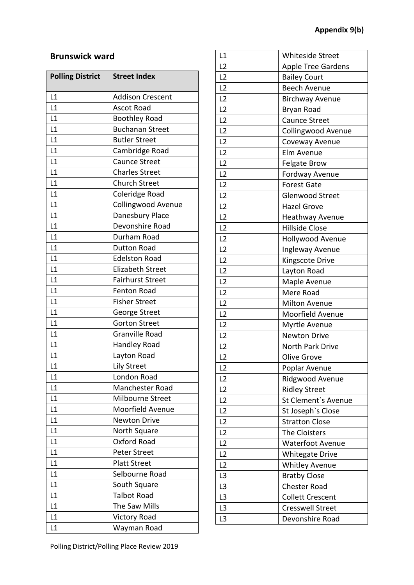## **Brunswick ward**

| <b>Polling District</b> | <b>Street Index</b>     |
|-------------------------|-------------------------|
| L1                      | <b>Addison Crescent</b> |
| L1                      | <b>Ascot Road</b>       |
| L1                      | <b>Boothley Road</b>    |
| L1                      | <b>Buchanan Street</b>  |
| L1                      | <b>Butler Street</b>    |
| L1                      | Cambridge Road          |
| L1                      | <b>Caunce Street</b>    |
| L1                      | <b>Charles Street</b>   |
| L1                      | <b>Church Street</b>    |
| L1                      | Coleridge Road          |
| L1                      | Collingwood Avenue      |
| L1                      | Danesbury Place         |
| L1                      | Devonshire Road         |
| L1                      | Durham Road             |
| L1                      | <b>Dutton Road</b>      |
| L1                      | <b>Edelston Road</b>    |
| L1                      | <b>Elizabeth Street</b> |
| L1                      | <b>Fairhurst Street</b> |
| L1                      | Fenton Road             |
| L1                      | <b>Fisher Street</b>    |
| L1                      | George Street           |
| L1                      | <b>Gorton Street</b>    |
| L1                      | <b>Granville Road</b>   |
| L1                      | <b>Handley Road</b>     |
| L1                      | Layton Road             |
| L1                      | <b>Lily Street</b>      |
| L1                      | London Road             |
| L1                      | Manchester Road         |
| L1                      | Milbourne Street        |
| L1                      | Moorfield Avenue        |
| L1                      | <b>Newton Drive</b>     |
| L1                      | North Square            |
| L1                      | Oxford Road             |
| L1                      | <b>Peter Street</b>     |
| L1                      | <b>Platt Street</b>     |
| L1                      | Selbourne Road          |
| L1                      | South Square            |
| L1                      | <b>Talbot Road</b>      |
| L1                      | The Saw Mills           |
| L1                      | <b>Victory Road</b>     |
| L1                      | Wayman Road             |

| <b>Whiteside Street</b><br>L1<br>L2<br><b>Apple Tree Gardens</b><br>L2<br><b>Bailey Court</b><br>L2<br><b>Beech Avenue</b><br>L <sub>2</sub><br><b>Birchway Avenue</b><br>L <sub>2</sub><br>Bryan Road<br>L2<br>Caunce Street<br>L <sub>2</sub><br><b>Collingwood Avenue</b><br>L2<br>Coveway Avenue<br>L <sub>2</sub><br>Elm Avenue<br>L <sub>2</sub><br><b>Felgate Brow</b><br>L <sub>2</sub><br>Fordway Avenue<br>L <sub>2</sub><br><b>Forest Gate</b><br>L2<br><b>Glenwood Street</b><br>L2<br><b>Hazel Grove</b><br>L2<br>Heathway Avenue<br>L <sub>2</sub><br><b>Hillside Close</b><br>L <sub>2</sub><br><b>Hollywood Avenue</b><br>L <sub>2</sub><br>Ingleway Avenue<br>L <sub>2</sub><br>Kingscote Drive<br>L <sub>2</sub><br>Layton Road<br>L2<br>Maple Avenue<br>L <sub>2</sub><br>Mere Road<br>L2<br><b>Milton Avenue</b><br>L2<br>Moorfield Avenue<br>L <sub>2</sub><br>Myrtle Avenue<br>L <sub>2</sub><br><b>Newton Drive</b><br>L <sub>2</sub><br>North Park Drive<br>L2<br><b>Olive Grove</b><br>L <sub>2</sub><br>Poplar Avenue<br>L2<br>Ridgwood Avenue<br>L <sub>2</sub><br><b>Ridley Street</b><br>L2<br>St Clement's Avenue<br>L2<br>St Joseph's Close<br>L <sub>2</sub><br><b>Stratton Close</b><br>L2<br>The Cloisters<br>L <sub>2</sub><br><b>Waterfoot Avenue</b><br>L <sub>2</sub><br><b>Whitegate Drive</b><br>L <sub>2</sub><br><b>Whitley Avenue</b><br>L <sub>3</sub><br><b>Bratby Close</b><br>L <sub>3</sub><br><b>Chester Road</b><br>L3<br><b>Collett Crescent</b><br>L <sub>3</sub><br><b>Cresswell Street</b><br>L <sub>3</sub><br>Devonshire Road |  |
|---------------------------------------------------------------------------------------------------------------------------------------------------------------------------------------------------------------------------------------------------------------------------------------------------------------------------------------------------------------------------------------------------------------------------------------------------------------------------------------------------------------------------------------------------------------------------------------------------------------------------------------------------------------------------------------------------------------------------------------------------------------------------------------------------------------------------------------------------------------------------------------------------------------------------------------------------------------------------------------------------------------------------------------------------------------------------------------------------------------------------------------------------------------------------------------------------------------------------------------------------------------------------------------------------------------------------------------------------------------------------------------------------------------------------------------------------------------------------------------------------------------------------------------------------------------------------------------|--|
|                                                                                                                                                                                                                                                                                                                                                                                                                                                                                                                                                                                                                                                                                                                                                                                                                                                                                                                                                                                                                                                                                                                                                                                                                                                                                                                                                                                                                                                                                                                                                                                       |  |
|                                                                                                                                                                                                                                                                                                                                                                                                                                                                                                                                                                                                                                                                                                                                                                                                                                                                                                                                                                                                                                                                                                                                                                                                                                                                                                                                                                                                                                                                                                                                                                                       |  |
|                                                                                                                                                                                                                                                                                                                                                                                                                                                                                                                                                                                                                                                                                                                                                                                                                                                                                                                                                                                                                                                                                                                                                                                                                                                                                                                                                                                                                                                                                                                                                                                       |  |
|                                                                                                                                                                                                                                                                                                                                                                                                                                                                                                                                                                                                                                                                                                                                                                                                                                                                                                                                                                                                                                                                                                                                                                                                                                                                                                                                                                                                                                                                                                                                                                                       |  |
|                                                                                                                                                                                                                                                                                                                                                                                                                                                                                                                                                                                                                                                                                                                                                                                                                                                                                                                                                                                                                                                                                                                                                                                                                                                                                                                                                                                                                                                                                                                                                                                       |  |
|                                                                                                                                                                                                                                                                                                                                                                                                                                                                                                                                                                                                                                                                                                                                                                                                                                                                                                                                                                                                                                                                                                                                                                                                                                                                                                                                                                                                                                                                                                                                                                                       |  |
|                                                                                                                                                                                                                                                                                                                                                                                                                                                                                                                                                                                                                                                                                                                                                                                                                                                                                                                                                                                                                                                                                                                                                                                                                                                                                                                                                                                                                                                                                                                                                                                       |  |
|                                                                                                                                                                                                                                                                                                                                                                                                                                                                                                                                                                                                                                                                                                                                                                                                                                                                                                                                                                                                                                                                                                                                                                                                                                                                                                                                                                                                                                                                                                                                                                                       |  |
|                                                                                                                                                                                                                                                                                                                                                                                                                                                                                                                                                                                                                                                                                                                                                                                                                                                                                                                                                                                                                                                                                                                                                                                                                                                                                                                                                                                                                                                                                                                                                                                       |  |
|                                                                                                                                                                                                                                                                                                                                                                                                                                                                                                                                                                                                                                                                                                                                                                                                                                                                                                                                                                                                                                                                                                                                                                                                                                                                                                                                                                                                                                                                                                                                                                                       |  |
|                                                                                                                                                                                                                                                                                                                                                                                                                                                                                                                                                                                                                                                                                                                                                                                                                                                                                                                                                                                                                                                                                                                                                                                                                                                                                                                                                                                                                                                                                                                                                                                       |  |
|                                                                                                                                                                                                                                                                                                                                                                                                                                                                                                                                                                                                                                                                                                                                                                                                                                                                                                                                                                                                                                                                                                                                                                                                                                                                                                                                                                                                                                                                                                                                                                                       |  |
|                                                                                                                                                                                                                                                                                                                                                                                                                                                                                                                                                                                                                                                                                                                                                                                                                                                                                                                                                                                                                                                                                                                                                                                                                                                                                                                                                                                                                                                                                                                                                                                       |  |
|                                                                                                                                                                                                                                                                                                                                                                                                                                                                                                                                                                                                                                                                                                                                                                                                                                                                                                                                                                                                                                                                                                                                                                                                                                                                                                                                                                                                                                                                                                                                                                                       |  |
|                                                                                                                                                                                                                                                                                                                                                                                                                                                                                                                                                                                                                                                                                                                                                                                                                                                                                                                                                                                                                                                                                                                                                                                                                                                                                                                                                                                                                                                                                                                                                                                       |  |
|                                                                                                                                                                                                                                                                                                                                                                                                                                                                                                                                                                                                                                                                                                                                                                                                                                                                                                                                                                                                                                                                                                                                                                                                                                                                                                                                                                                                                                                                                                                                                                                       |  |
|                                                                                                                                                                                                                                                                                                                                                                                                                                                                                                                                                                                                                                                                                                                                                                                                                                                                                                                                                                                                                                                                                                                                                                                                                                                                                                                                                                                                                                                                                                                                                                                       |  |
|                                                                                                                                                                                                                                                                                                                                                                                                                                                                                                                                                                                                                                                                                                                                                                                                                                                                                                                                                                                                                                                                                                                                                                                                                                                                                                                                                                                                                                                                                                                                                                                       |  |
|                                                                                                                                                                                                                                                                                                                                                                                                                                                                                                                                                                                                                                                                                                                                                                                                                                                                                                                                                                                                                                                                                                                                                                                                                                                                                                                                                                                                                                                                                                                                                                                       |  |
|                                                                                                                                                                                                                                                                                                                                                                                                                                                                                                                                                                                                                                                                                                                                                                                                                                                                                                                                                                                                                                                                                                                                                                                                                                                                                                                                                                                                                                                                                                                                                                                       |  |
|                                                                                                                                                                                                                                                                                                                                                                                                                                                                                                                                                                                                                                                                                                                                                                                                                                                                                                                                                                                                                                                                                                                                                                                                                                                                                                                                                                                                                                                                                                                                                                                       |  |
|                                                                                                                                                                                                                                                                                                                                                                                                                                                                                                                                                                                                                                                                                                                                                                                                                                                                                                                                                                                                                                                                                                                                                                                                                                                                                                                                                                                                                                                                                                                                                                                       |  |
|                                                                                                                                                                                                                                                                                                                                                                                                                                                                                                                                                                                                                                                                                                                                                                                                                                                                                                                                                                                                                                                                                                                                                                                                                                                                                                                                                                                                                                                                                                                                                                                       |  |
|                                                                                                                                                                                                                                                                                                                                                                                                                                                                                                                                                                                                                                                                                                                                                                                                                                                                                                                                                                                                                                                                                                                                                                                                                                                                                                                                                                                                                                                                                                                                                                                       |  |
|                                                                                                                                                                                                                                                                                                                                                                                                                                                                                                                                                                                                                                                                                                                                                                                                                                                                                                                                                                                                                                                                                                                                                                                                                                                                                                                                                                                                                                                                                                                                                                                       |  |
|                                                                                                                                                                                                                                                                                                                                                                                                                                                                                                                                                                                                                                                                                                                                                                                                                                                                                                                                                                                                                                                                                                                                                                                                                                                                                                                                                                                                                                                                                                                                                                                       |  |
|                                                                                                                                                                                                                                                                                                                                                                                                                                                                                                                                                                                                                                                                                                                                                                                                                                                                                                                                                                                                                                                                                                                                                                                                                                                                                                                                                                                                                                                                                                                                                                                       |  |
|                                                                                                                                                                                                                                                                                                                                                                                                                                                                                                                                                                                                                                                                                                                                                                                                                                                                                                                                                                                                                                                                                                                                                                                                                                                                                                                                                                                                                                                                                                                                                                                       |  |
|                                                                                                                                                                                                                                                                                                                                                                                                                                                                                                                                                                                                                                                                                                                                                                                                                                                                                                                                                                                                                                                                                                                                                                                                                                                                                                                                                                                                                                                                                                                                                                                       |  |
|                                                                                                                                                                                                                                                                                                                                                                                                                                                                                                                                                                                                                                                                                                                                                                                                                                                                                                                                                                                                                                                                                                                                                                                                                                                                                                                                                                                                                                                                                                                                                                                       |  |
|                                                                                                                                                                                                                                                                                                                                                                                                                                                                                                                                                                                                                                                                                                                                                                                                                                                                                                                                                                                                                                                                                                                                                                                                                                                                                                                                                                                                                                                                                                                                                                                       |  |
|                                                                                                                                                                                                                                                                                                                                                                                                                                                                                                                                                                                                                                                                                                                                                                                                                                                                                                                                                                                                                                                                                                                                                                                                                                                                                                                                                                                                                                                                                                                                                                                       |  |
|                                                                                                                                                                                                                                                                                                                                                                                                                                                                                                                                                                                                                                                                                                                                                                                                                                                                                                                                                                                                                                                                                                                                                                                                                                                                                                                                                                                                                                                                                                                                                                                       |  |
|                                                                                                                                                                                                                                                                                                                                                                                                                                                                                                                                                                                                                                                                                                                                                                                                                                                                                                                                                                                                                                                                                                                                                                                                                                                                                                                                                                                                                                                                                                                                                                                       |  |
|                                                                                                                                                                                                                                                                                                                                                                                                                                                                                                                                                                                                                                                                                                                                                                                                                                                                                                                                                                                                                                                                                                                                                                                                                                                                                                                                                                                                                                                                                                                                                                                       |  |
|                                                                                                                                                                                                                                                                                                                                                                                                                                                                                                                                                                                                                                                                                                                                                                                                                                                                                                                                                                                                                                                                                                                                                                                                                                                                                                                                                                                                                                                                                                                                                                                       |  |
|                                                                                                                                                                                                                                                                                                                                                                                                                                                                                                                                                                                                                                                                                                                                                                                                                                                                                                                                                                                                                                                                                                                                                                                                                                                                                                                                                                                                                                                                                                                                                                                       |  |
|                                                                                                                                                                                                                                                                                                                                                                                                                                                                                                                                                                                                                                                                                                                                                                                                                                                                                                                                                                                                                                                                                                                                                                                                                                                                                                                                                                                                                                                                                                                                                                                       |  |
|                                                                                                                                                                                                                                                                                                                                                                                                                                                                                                                                                                                                                                                                                                                                                                                                                                                                                                                                                                                                                                                                                                                                                                                                                                                                                                                                                                                                                                                                                                                                                                                       |  |
|                                                                                                                                                                                                                                                                                                                                                                                                                                                                                                                                                                                                                                                                                                                                                                                                                                                                                                                                                                                                                                                                                                                                                                                                                                                                                                                                                                                                                                                                                                                                                                                       |  |
|                                                                                                                                                                                                                                                                                                                                                                                                                                                                                                                                                                                                                                                                                                                                                                                                                                                                                                                                                                                                                                                                                                                                                                                                                                                                                                                                                                                                                                                                                                                                                                                       |  |
|                                                                                                                                                                                                                                                                                                                                                                                                                                                                                                                                                                                                                                                                                                                                                                                                                                                                                                                                                                                                                                                                                                                                                                                                                                                                                                                                                                                                                                                                                                                                                                                       |  |
|                                                                                                                                                                                                                                                                                                                                                                                                                                                                                                                                                                                                                                                                                                                                                                                                                                                                                                                                                                                                                                                                                                                                                                                                                                                                                                                                                                                                                                                                                                                                                                                       |  |
|                                                                                                                                                                                                                                                                                                                                                                                                                                                                                                                                                                                                                                                                                                                                                                                                                                                                                                                                                                                                                                                                                                                                                                                                                                                                                                                                                                                                                                                                                                                                                                                       |  |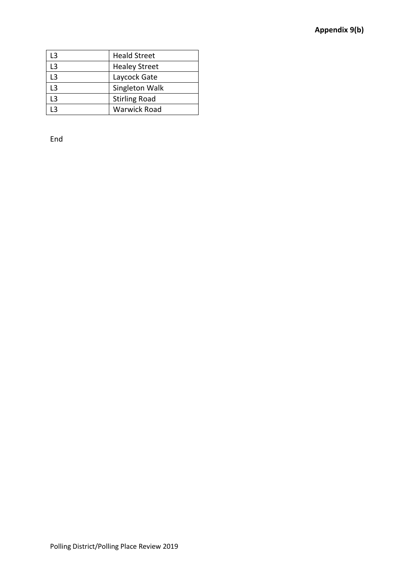| ۱3 | <b>Heald Street</b>  |
|----|----------------------|
| L3 | <b>Healey Street</b> |
| ۱3 | Laycock Gate         |
| L3 | Singleton Walk       |
| 13 | <b>Stirling Road</b> |
|    | <b>Warwick Road</b>  |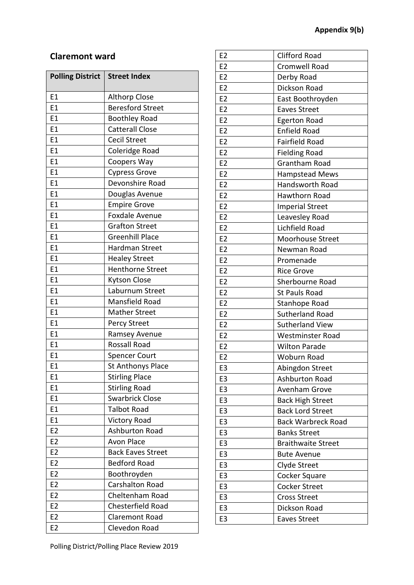## **Claremont ward**

| <b>Polling District</b> | <b>Street Index</b>      |
|-------------------------|--------------------------|
| E1                      | <b>Althorp Close</b>     |
| E1                      | <b>Beresford Street</b>  |
| E1                      | <b>Boothley Road</b>     |
| E1                      | <b>Catterall Close</b>   |
| E1                      | <b>Cecil Street</b>      |
| E1                      | Coleridge Road           |
| E1                      | Coopers Way              |
| E1                      | <b>Cypress Grove</b>     |
| E1                      | Devonshire Road          |
| E1                      | Douglas Avenue           |
| E1                      | <b>Empire Grove</b>      |
| E <sub>1</sub>          | <b>Foxdale Avenue</b>    |
| E1                      | <b>Grafton Street</b>    |
| E1                      | <b>Greenhill Place</b>   |
| E1                      | Hardman Street           |
| E1                      | <b>Healey Street</b>     |
| E1                      | <b>Henthorne Street</b>  |
| E1                      | <b>Kytson Close</b>      |
| E1                      | Laburnum Street          |
| E1                      | Mansfield Road           |
| E1                      | <b>Mather Street</b>     |
| E <sub>1</sub>          | Percy Street             |
| E1                      | Ramsey Avenue            |
| E1                      | Rossall Road             |
| E1                      | <b>Spencer Court</b>     |
| E1                      | St Anthonys Place        |
| E1                      | <b>Stirling Place</b>    |
| E1                      | <b>Stirling Road</b>     |
| E1                      | <b>Swarbrick Close</b>   |
| E1                      | <b>Talbot Road</b>       |
| E1                      | <b>Victory Road</b>      |
| E <sub>2</sub>          | Ashburton Road           |
| E <sub>2</sub>          | <b>Avon Place</b>        |
| E <sub>2</sub>          | <b>Back Eaves Street</b> |
| E <sub>2</sub>          | <b>Bedford Road</b>      |
| E <sub>2</sub>          | Boothroyden              |
| E <sub>2</sub>          | <b>Carshalton Road</b>   |
| E <sub>2</sub>          | Cheltenham Road          |
| E <sub>2</sub>          | Chesterfield Road        |
| E <sub>2</sub>          | <b>Claremont Road</b>    |
| E <sub>2</sub>          | Clevedon Road            |

| E2             | <b>Clifford Road</b>      |
|----------------|---------------------------|
| E2             | <b>Cromwell Road</b>      |
| E <sub>2</sub> | Derby Road                |
| E2             | Dickson Road              |
| E <sub>2</sub> | East Boothroyden          |
| E2             | <b>Eaves Street</b>       |
| E <sub>2</sub> | <b>Egerton Road</b>       |
| E2             | <b>Enfield Road</b>       |
| E <sub>2</sub> | <b>Fairfield Road</b>     |
| E <sub>2</sub> | <b>Fielding Road</b>      |
| E2             | Grantham Road             |
| E <sub>2</sub> | Hampstead Mews            |
| E2             | Handsworth Road           |
| E <sub>2</sub> | Hawthorn Road             |
| E <sub>2</sub> | <b>Imperial Street</b>    |
| E2             | Leavesley Road            |
| E2             | Lichfield Road            |
| E2             | Moorhouse Street          |
| E2             | Newman Road               |
| E <sub>2</sub> | Promenade                 |
| E <sub>2</sub> | <b>Rice Grove</b>         |
| E <sub>2</sub> | Sherbourne Road           |
| E <sub>2</sub> | <b>St Pauls Road</b>      |
| E <sub>2</sub> | Stanhope Road             |
| E2             | <b>Sutherland Road</b>    |
| E2             | <b>Sutherland View</b>    |
| E <sub>2</sub> | <b>Westminster Road</b>   |
| E2             | <b>Wilton Parade</b>      |
| E2             | <b>Woburn Road</b>        |
| E <sub>3</sub> | Abingdon Street           |
| E <sub>3</sub> | <b>Ashburton Road</b>     |
| E3             | Avenham Grove             |
| E3             | <b>Back High Street</b>   |
| E <sub>3</sub> | <b>Back Lord Street</b>   |
| E <sub>3</sub> | <b>Back Warbreck Road</b> |
| E3             | <b>Banks Street</b>       |
| E <sub>3</sub> | <b>Braithwaite Street</b> |
| E <sub>3</sub> | <b>Bute Avenue</b>        |
| E <sub>3</sub> | Clyde Street              |
| E <sub>3</sub> | Cocker Square             |
| E3             | <b>Cocker Street</b>      |
| E <sub>3</sub> | <b>Cross Street</b>       |
| E <sub>3</sub> | Dickson Road              |
| E3             | <b>Eaves Street</b>       |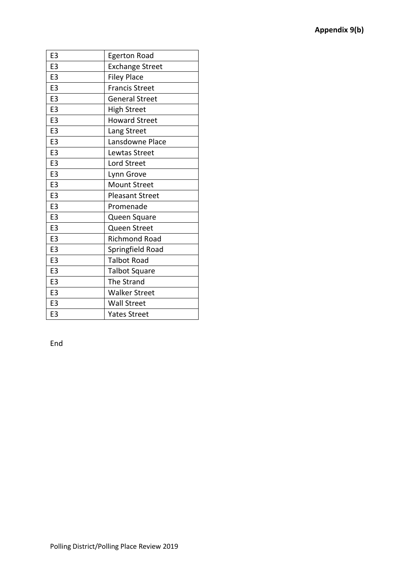| E <sub>3</sub> | <b>Egerton Road</b>    |
|----------------|------------------------|
| E3             | <b>Exchange Street</b> |
| E <sub>3</sub> | <b>Filey Place</b>     |
| E <sub>3</sub> | <b>Francis Street</b>  |
| E <sub>3</sub> | <b>General Street</b>  |
| E <sub>3</sub> | <b>High Street</b>     |
| E <sub>3</sub> | <b>Howard Street</b>   |
| E <sub>3</sub> | Lang Street            |
| E <sub>3</sub> | Lansdowne Place        |
| E <sub>3</sub> | Lewtas Street          |
| E <sub>3</sub> | <b>Lord Street</b>     |
| E <sub>3</sub> | Lynn Grove             |
| E <sub>3</sub> | <b>Mount Street</b>    |
| E <sub>3</sub> | <b>Pleasant Street</b> |
| E <sub>3</sub> | Promenade              |
| E <sub>3</sub> | Queen Square           |
| E <sub>3</sub> | Queen Street           |
| E <sub>3</sub> | <b>Richmond Road</b>   |
| E <sub>3</sub> | Springfield Road       |
| E <sub>3</sub> | <b>Talbot Road</b>     |
| E <sub>3</sub> | <b>Talbot Square</b>   |
| E <sub>3</sub> | The Strand             |
| E <sub>3</sub> | <b>Walker Street</b>   |
| E <sub>3</sub> | Wall Street            |
| E <sub>3</sub> | <b>Yates Street</b>    |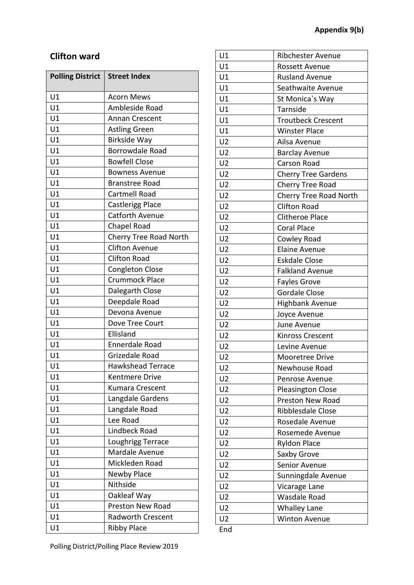## **Clifton ward**

| <b>Polling District</b> | <b>Street Index</b>      |
|-------------------------|--------------------------|
| U1                      | <b>Acorn Mews</b>        |
| U1                      | Ambleside Road           |
| U1                      | Annan Crescent           |
| U1                      | <b>Astling Green</b>     |
| U1                      | Birkside Way             |
| U1                      | Borrowdale Road          |
| U1                      | <b>Bowfell Close</b>     |
| U1                      | <b>Bowness Avenue</b>    |
| U1                      | <b>Branstree Road</b>    |
| U1                      | Cartmell Road            |
| U1                      | <b>Castlerigg Place</b>  |
| U1                      | <b>Catforth Avenue</b>   |
| U1                      | Chapel Road              |
| U1                      | Cherry Tree Road North   |
| U1                      | <b>Clifton Avenue</b>    |
| U1                      | <b>Clifton Road</b>      |
| U1                      | <b>Congleton Close</b>   |
| U1                      | <b>Crummock Place</b>    |
| U1                      | Dalegarth Close          |
| U1                      | Deepdale Road            |
| U1                      | Devona Avenue            |
| U1                      | Dove Tree Court          |
| U1                      | Ellisland                |
| U1                      | Ennerdale Road           |
| U1                      | Grizedale Road           |
| U1                      | <b>Hawkshead Terrace</b> |
| U1                      | Kentmere Drive           |
| U1                      | Kumara Crescent          |
| U1                      | Langdale Gardens         |
| U1                      | Langdale Road            |
| U1                      | Lee Road                 |
| U1                      | <b>Lindbeck Road</b>     |
| U1                      | Loughrigg Terrace        |
| U1                      | Mardale Avenue           |
| U1                      | Mickleden Road           |
| U1                      | Newby Place              |
| U1                      | Nithside                 |
| U1                      | Oakleaf Way              |
| U1                      | Preston New Road         |
| U1                      | <b>Radworth Crescent</b> |
| U1                      | <b>Ribby Place</b>       |

| U1             | <b>Ribchester Avenue</b>      |
|----------------|-------------------------------|
| U1             | <b>Rossett Avenue</b>         |
| U1             | <b>Rusland Avenue</b>         |
| U1             | Seathwaite Avenue             |
| U1             | St Monica's Way               |
| U1             | Tarnside                      |
| U1             | <b>Troutbeck Crescent</b>     |
| U1             | <b>Winster Place</b>          |
| U <sub>2</sub> | Ailsa Avenue                  |
| U <sub>2</sub> | <b>Barclay Avenue</b>         |
| U <sub>2</sub> | Carson Road                   |
| U <sub>2</sub> | <b>Cherry Tree Gardens</b>    |
| U <sub>2</sub> | Cherry Tree Road              |
| U <sub>2</sub> | <b>Cherry Tree Road North</b> |
| U <sub>2</sub> | <b>Clifton Road</b>           |
| U <sub>2</sub> | <b>Clitheroe Place</b>        |
| U <sub>2</sub> | <b>Coral Place</b>            |
| U <sub>2</sub> | Cowley Road                   |
| U <sub>2</sub> | Elaine Avenue                 |
| U <sub>2</sub> | <b>Eskdale Close</b>          |
| U <sub>2</sub> | <b>Falkland Avenue</b>        |
| U <sub>2</sub> | <b>Fayles Grove</b>           |
| U <sub>2</sub> | <b>Gordale Close</b>          |
| U <sub>2</sub> | <b>Highbank Avenue</b>        |
| U <sub>2</sub> | Joyce Avenue                  |
| U <sub>2</sub> | June Avenue                   |
| U <sub>2</sub> | <b>Kinross Crescent</b>       |
| U <sub>2</sub> | Levine Avenue                 |
| U <sub>2</sub> | Mooretree Drive               |
| U <sub>2</sub> | Newhouse Road                 |
| U <sub>2</sub> | Penrose Avenue                |
| U <sub>2</sub> | <b>Pleasington Close</b>      |
| U <sub>2</sub> | <b>Preston New Road</b>       |
| U <sub>2</sub> | Ribblesdale Close             |
| U <sub>2</sub> | Rosedale Avenue               |
| U <sub>2</sub> | Rosemede Avenue               |
| U <sub>2</sub> | <b>Ryldon Place</b>           |
| U <sub>2</sub> | Saxby Grove                   |
| U <sub>2</sub> | Senior Avenue                 |
| U <sub>2</sub> | Sunningdale Avenue            |
| U <sub>2</sub> | Vicarage Lane                 |
| U <sub>2</sub> | Wasdale Road                  |
| U <sub>2</sub> | <b>Whalley Lane</b>           |
| U <sub>2</sub> | <b>Winton Avenue</b>          |
| End            |                               |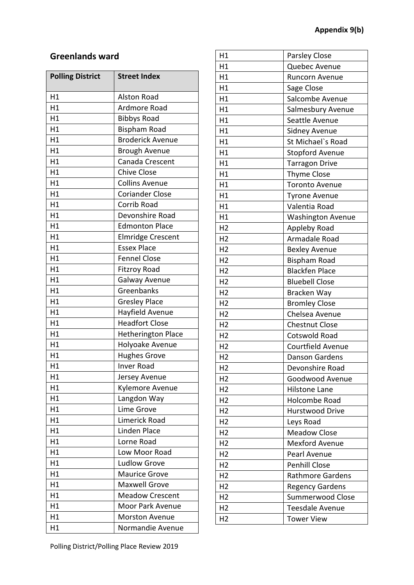## **Greenlands ward**

| <b>Polling District</b> | <b>Street Index</b>       |
|-------------------------|---------------------------|
| H1                      | <b>Alston Road</b>        |
| H1                      | Ardmore Road              |
| H1                      | <b>Bibbys Road</b>        |
| H1                      | <b>Bispham Road</b>       |
| H1                      | <b>Broderick Avenue</b>   |
| H1                      | <b>Brough Avenue</b>      |
| H1                      | Canada Crescent           |
| H1                      | <b>Chive Close</b>        |
| H1                      | <b>Collins Avenue</b>     |
| H1                      | <b>Coriander Close</b>    |
| H1                      | Corrib Road               |
| H1                      | Devonshire Road           |
| H1                      | <b>Edmonton Place</b>     |
| H1                      | <b>Elmridge Crescent</b>  |
| H1                      | <b>Essex Place</b>        |
| H1                      | <b>Fennel Close</b>       |
| H1                      | <b>Fitzroy Road</b>       |
| H1                      | Galway Avenue             |
| H1                      | Greenbanks                |
| H1                      | <b>Gresley Place</b>      |
| H1                      | Hayfield Avenue           |
| H1                      | <b>Headfort Close</b>     |
| H1                      | <b>Hetherington Place</b> |
| H1                      | Holyoake Avenue           |
| H1                      | <b>Hughes Grove</b>       |
| H1                      | <b>Inver Road</b>         |
| H1                      | Jersey Avenue             |
| H1                      | Kylemore Avenue           |
| H1                      | Langdon Way               |
| H1                      | <b>Lime Grove</b>         |
| H1                      | Limerick Road             |
| H1                      | <b>Linden Place</b>       |
| H1                      | Lorne Road                |
| H1                      | Low Moor Road             |
| H1                      | <b>Ludlow Grove</b>       |
| H1                      | <b>Maurice Grove</b>      |
| H1                      | <b>Maxwell Grove</b>      |
| H1                      | <b>Meadow Crescent</b>    |
| H1                      | Moor Park Avenue          |
| H1                      | <b>Morston Avenue</b>     |
| H1                      | Normandie Avenue          |

| H1             | Parsley Close            |
|----------------|--------------------------|
| H1             | Quebec Avenue            |
| H1             | Runcorn Avenue           |
| H1             | Sage Close               |
| H1             | Salcombe Avenue          |
| H1             | Salmesbury Avenue        |
| H1             | Seattle Avenue           |
| H1             | Sidney Avenue            |
| H1             | St Michael's Road        |
| H1             | <b>Stopford Avenue</b>   |
| H1             | <b>Tarragon Drive</b>    |
| H1             | <b>Thyme Close</b>       |
| H1             | <b>Toronto Avenue</b>    |
| H1             | <b>Tyrone Avenue</b>     |
| H1             | Valentia Road            |
| H1             | <b>Washington Avenue</b> |
| H <sub>2</sub> | Appleby Road             |
| H <sub>2</sub> | Armadale Road            |
| H <sub>2</sub> | <b>Bexley Avenue</b>     |
| H <sub>2</sub> | <b>Bispham Road</b>      |
| H <sub>2</sub> | <b>Blackfen Place</b>    |
| H <sub>2</sub> | <b>Bluebell Close</b>    |
| H <sub>2</sub> | Bracken Way              |
| H <sub>2</sub> | <b>Bromley Close</b>     |
| H <sub>2</sub> | Chelsea Avenue           |
| H <sub>2</sub> | <b>Chestnut Close</b>    |
| H <sub>2</sub> | <b>Cotswold Road</b>     |
| H <sub>2</sub> | Courtfield Avenue        |
| H <sub>2</sub> | Danson Gardens           |
| H <sub>2</sub> | Devonshire Road          |
| H <sub>2</sub> | Goodwood Avenue          |
| H <sub>2</sub> | <b>Hilstone Lane</b>     |
| H <sub>2</sub> | <b>Holcombe Road</b>     |
| H <sub>2</sub> | <b>Hurstwood Drive</b>   |
| H <sub>2</sub> | Leys Road                |
| H <sub>2</sub> | <b>Meadow Close</b>      |
| H <sub>2</sub> | <b>Mexford Avenue</b>    |
| H <sub>2</sub> | Pearl Avenue             |
| H <sub>2</sub> | <b>Penhill Close</b>     |
| H <sub>2</sub> | <b>Rathmore Gardens</b>  |
| H <sub>2</sub> | <b>Regency Gardens</b>   |
| H <sub>2</sub> | Summerwood Close         |
|                |                          |
| H <sub>2</sub> | <b>Teesdale Avenue</b>   |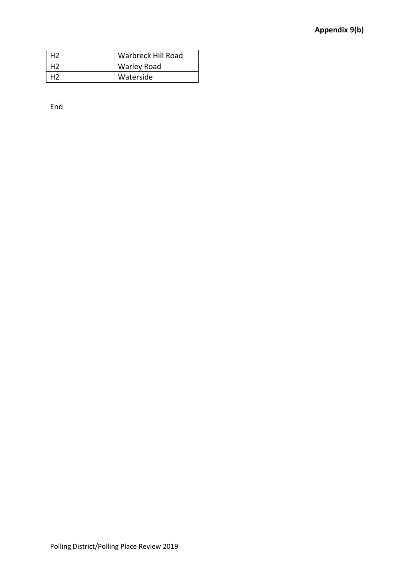| H2             | Warbreck Hill Road |
|----------------|--------------------|
| H <sub>2</sub> | <b>Warley Road</b> |
|                | Waterside          |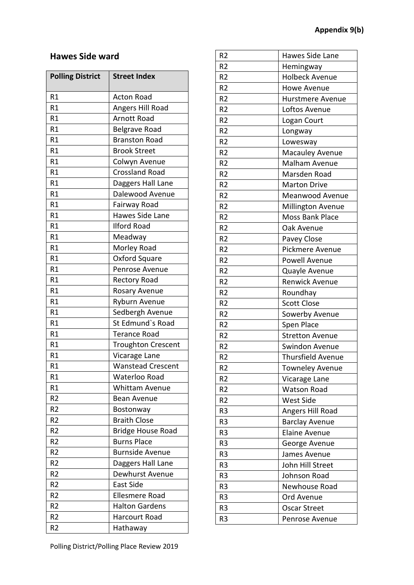## **Hawes Side ward**

| <b>Polling District</b> | <b>Street Index</b>       |
|-------------------------|---------------------------|
| R1                      | <b>Acton Road</b>         |
| R1                      | Angers Hill Road          |
| R1                      | <b>Arnott Road</b>        |
| R1                      | Belgrave Road             |
| R1                      | <b>Branston Road</b>      |
| R1                      | <b>Brook Street</b>       |
| R1                      | Colwyn Avenue             |
| R1                      | <b>Crossland Road</b>     |
| R1                      | Daggers Hall Lane         |
| R1                      | Dalewood Avenue           |
| R1                      | Fairway Road              |
| R1                      | <b>Hawes Side Lane</b>    |
| R1                      | <b>Ilford Road</b>        |
| R1                      | Meadway                   |
| R1                      | Morley Road               |
| R1                      | Oxford Square             |
| R1                      | Penrose Avenue            |
| R1                      | Rectory Road              |
| R1                      | Rosary Avenue             |
| R1                      | Ryburn Avenue             |
| R1                      | Sedbergh Avenue           |
| R1                      | St Edmund's Road          |
| R1                      | <b>Terance Road</b>       |
| R1                      | <b>Troughton Crescent</b> |
| R1                      | Vicarage Lane             |
| R1                      | <b>Wanstead Crescent</b>  |
| R1                      | Waterloo Road             |
| R1                      | <b>Whittam Avenue</b>     |
| R <sub>2</sub>          | <b>Bean Avenue</b>        |
| R <sub>2</sub>          | Bostonway                 |
| R <sub>2</sub>          | <b>Braith Close</b>       |
| R <sub>2</sub>          | <b>Bridge House Road</b>  |
| R <sub>2</sub>          | <b>Burns Place</b>        |
| R <sub>2</sub>          | <b>Burnside Avenue</b>    |
| R <sub>2</sub>          | Daggers Hall Lane         |
| R <sub>2</sub>          | Dewhurst Avenue           |
| R <sub>2</sub>          | <b>East Side</b>          |
| R <sub>2</sub>          | Ellesmere Road            |
| R <sub>2</sub>          | <b>Halton Gardens</b>     |
| R <sub>2</sub>          | Harcourt Road             |
| R <sub>2</sub>          | Hathaway                  |

| R <sub>2</sub> | Hawes Side Lane          |
|----------------|--------------------------|
| R <sub>2</sub> | Hemingway                |
| R <sub>2</sub> | <b>Holbeck Avenue</b>    |
| R <sub>2</sub> | Howe Avenue              |
| R <sub>2</sub> | Hurstmere Avenue         |
| R <sub>2</sub> | Loftos Avenue            |
| R <sub>2</sub> | Logan Court              |
| R <sub>2</sub> | Longway                  |
| R <sub>2</sub> | Lowesway                 |
| R <sub>2</sub> | <b>Macauley Avenue</b>   |
| R <sub>2</sub> | Malham Avenue            |
| R <sub>2</sub> | Marsden Road             |
| R <sub>2</sub> | <b>Marton Drive</b>      |
| R <sub>2</sub> | Meanwood Avenue          |
| R <sub>2</sub> | Millington Avenue        |
| R <sub>2</sub> | <b>Moss Bank Place</b>   |
| R <sub>2</sub> | Oak Avenue               |
| R <sub>2</sub> | Pavey Close              |
| R <sub>2</sub> | Pickmere Avenue          |
| R <sub>2</sub> | Powell Avenue            |
| R <sub>2</sub> | Quayle Avenue            |
| R <sub>2</sub> | <b>Renwick Avenue</b>    |
| R <sub>2</sub> | Roundhay                 |
| R <sub>2</sub> | <b>Scott Close</b>       |
| R <sub>2</sub> | Sowerby Avenue           |
| R <sub>2</sub> | Spen Place               |
| R <sub>2</sub> | <b>Stretton Avenue</b>   |
| R <sub>2</sub> | Swindon Avenue           |
| R2             | <b>Thursfield Avenue</b> |
| R <sub>2</sub> | <b>Towneley Avenue</b>   |
| R2             | Vicarage Lane            |
| R <sub>2</sub> | <b>Watson Road</b>       |
| R <sub>2</sub> | <b>West Side</b>         |
| R <sub>3</sub> | Angers Hill Road         |
| R <sub>3</sub> | <b>Barclay Avenue</b>    |
| R <sub>3</sub> | <b>Elaine Avenue</b>     |
| R <sub>3</sub> | George Avenue            |
| R3             | James Avenue             |
| R <sub>3</sub> | John Hill Street         |
| R <sub>3</sub> | Johnson Road             |
| R <sub>3</sub> | Newhouse Road            |
| R <sub>3</sub> | Ord Avenue               |
| R3             | <b>Oscar Street</b>      |
| R3             | Penrose Avenue           |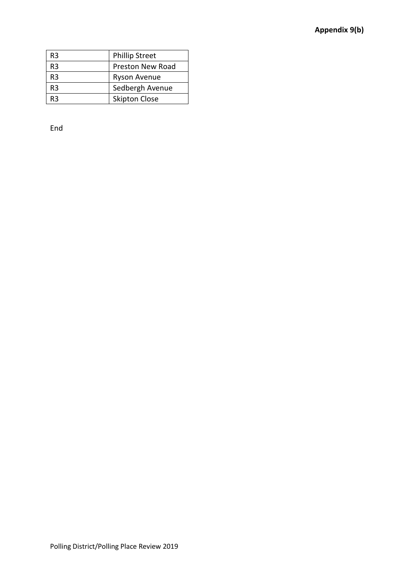| R <sub>3</sub> | <b>Phillip Street</b>   |
|----------------|-------------------------|
| R <sub>3</sub> | <b>Preston New Road</b> |
| R <sub>3</sub> | Ryson Avenue            |
| R3             | Sedbergh Avenue         |
| R3             | <b>Skipton Close</b>    |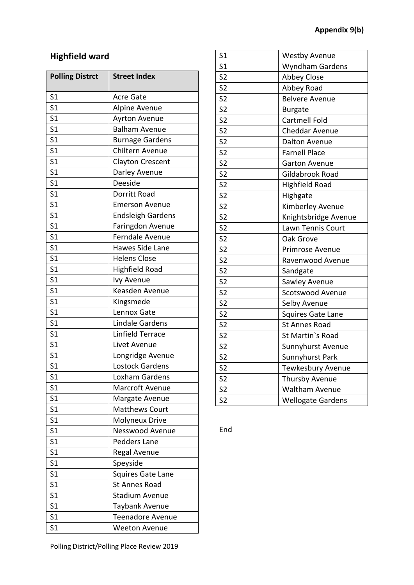# **Highfield ward**

| <b>Polling Distrct</b> | <b>Street Index</b>      |
|------------------------|--------------------------|
| S <sub>1</sub>         | <b>Acre Gate</b>         |
| S <sub>1</sub>         | Alpine Avenue            |
| S <sub>1</sub>         | Ayrton Avenue            |
| S <sub>1</sub>         | <b>Balham Avenue</b>     |
| S <sub>1</sub>         | <b>Burnage Gardens</b>   |
| S <sub>1</sub>         | Chiltern Avenue          |
| S <sub>1</sub>         | <b>Clayton Crescent</b>  |
| S <sub>1</sub>         | Darley Avenue            |
| S <sub>1</sub>         | Deeside                  |
| S <sub>1</sub>         | Dorritt Road             |
| S <sub>1</sub>         | <b>Emerson Avenue</b>    |
| S <sub>1</sub>         | <b>Endsleigh Gardens</b> |
| S <sub>1</sub>         | Faringdon Avenue         |
| S <sub>1</sub>         | Ferndale Avenue          |
| S <sub>1</sub>         | Hawes Side Lane          |
| S <sub>1</sub>         | <b>Helens Close</b>      |
| S <sub>1</sub>         | <b>Highfield Road</b>    |
| S <sub>1</sub>         | <b>Ivy Avenue</b>        |
| S <sub>1</sub>         | Keasden Avenue           |
| S <sub>1</sub>         | Kingsmede                |
| S <sub>1</sub>         | Lennox Gate              |
| S <sub>1</sub>         | <b>Lindale Gardens</b>   |
| S <sub>1</sub>         | <b>Linfield Terrace</b>  |
| S <sub>1</sub>         | Livet Avenue             |
| S <sub>1</sub>         | Longridge Avenue         |
| S <sub>1</sub>         | <b>Lostock Gardens</b>   |
| S <sub>1</sub>         | Loxham Gardens           |
| S <sub>1</sub>         | Marcroft Avenue          |
| S <sub>1</sub>         | Margate Avenue           |
| S <sub>1</sub>         | <b>Matthews Court</b>    |
| S <sub>1</sub>         | <b>Molyneux Drive</b>    |
| S <sub>1</sub>         | <b>Nesswood Avenue</b>   |
| S <sub>1</sub>         | Pedders Lane             |
| S <sub>1</sub>         | Regal Avenue             |
| S <sub>1</sub>         | Speyside                 |
| S <sub>1</sub>         | Squires Gate Lane        |
| S <sub>1</sub>         | St Annes Road            |
| S <sub>1</sub>         | <b>Stadium Avenue</b>    |
| S <sub>1</sub>         | Taybank Avenue           |
| S <sub>1</sub>         | Teenadore Avenue         |
| S1                     | Weeton Avenue            |

| S <sub>1</sub>           | <b>Westby Avenue</b>     |
|--------------------------|--------------------------|
| S <sub>1</sub>           | Wyndham Gardens          |
| S <sub>2</sub>           | <b>Abbey Close</b>       |
| S <sub>2</sub>           | Abbey Road               |
| S <sub>2</sub>           | <b>Belvere Avenue</b>    |
| S <sub>2</sub>           | <b>Burgate</b>           |
| S <sub>2</sub>           | Cartmell Fold            |
| S <sub>2</sub>           | Cheddar Avenue           |
| S <sub>2</sub>           | <b>Dalton Avenue</b>     |
| S <sub>2</sub>           | <b>Farnell Place</b>     |
| S <sub>2</sub>           | <b>Garton Avenue</b>     |
| S <sub>2</sub>           | Gildabrook Road          |
| S <sub>2</sub>           | <b>Highfield Road</b>    |
| $\overline{\mathsf{S2}}$ | Highgate                 |
| S <sub>2</sub>           | Kimberley Avenue         |
| S <sub>2</sub>           | Knightsbridge Avenue     |
| S <sub>2</sub>           | Lawn Tennis Court        |
| S <sub>2</sub>           | Oak Grove                |
| S <sub>2</sub>           | Primrose Avenue          |
| S <sub>2</sub>           | Ravenwood Avenue         |
| S <sub>2</sub>           | Sandgate                 |
| S <sub>2</sub>           | Sawley Avenue            |
| S <sub>2</sub>           | <b>Scotswood Avenue</b>  |
| S <sub>2</sub>           | Selby Avenue             |
| S <sub>2</sub>           | <b>Squires Gate Lane</b> |
| S <sub>2</sub>           | <b>St Annes Road</b>     |
| S <sub>2</sub>           | St Martin's Road         |
| S <sub>2</sub>           | Sunnyhurst Avenue        |
| S <sub>2</sub>           | Sunnyhurst Park          |
| S <sub>2</sub>           | Tewkesbury Avenue        |
| S <sub>2</sub>           | Thursby Avenue           |
| S <sub>2</sub>           | <b>Waltham Avenue</b>    |
| S <sub>2</sub>           | <b>Wellogate Gardens</b> |

End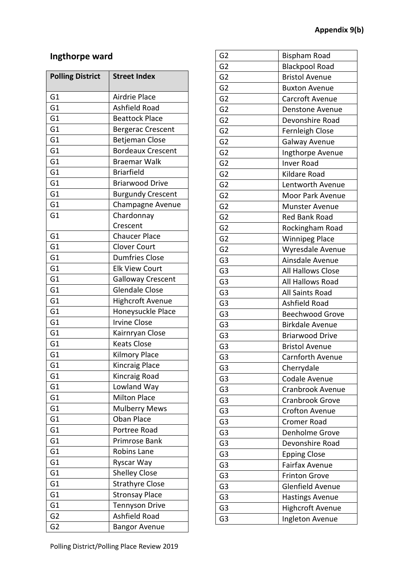## **Ingthorpe ward**

| <b>Polling District</b> | <b>Street Index</b>      |
|-------------------------|--------------------------|
| G1                      | Airdrie Place            |
| G <sub>1</sub>          | Ashfield Road            |
| G1                      | <b>Beattock Place</b>    |
| G1                      | <b>Bergerac Crescent</b> |
| G1                      | <b>Betjeman Close</b>    |
| G1                      | <b>Bordeaux Crescent</b> |
| G1                      | <b>Braemar Walk</b>      |
| G <sub>1</sub>          | <b>Briarfield</b>        |
| G1                      | <b>Briarwood Drive</b>   |
| G1                      | <b>Burgundy Crescent</b> |
| G1                      | Champagne Avenue         |
| G <sub>1</sub>          | Chardonnay               |
|                         | Crescent                 |
| G1                      | <b>Chaucer Place</b>     |
| G1                      | <b>Clover Court</b>      |
| G1                      | <b>Dumfries Close</b>    |
| G1                      | <b>Elk View Court</b>    |
| G1                      | <b>Galloway Crescent</b> |
| G1                      | <b>Glendale Close</b>    |
| G1                      | <b>Highcroft Avenue</b>  |
| G <sub>1</sub>          | Honeysuckle Place        |
| G <sub>1</sub>          | <b>Irvine Close</b>      |
| G1                      | Kairnryan Close          |
| G1                      | <b>Keats Close</b>       |
| G <sub>1</sub>          | Kilmory Place            |
| G1                      | Kincraig Place           |
| G1                      | Kincraig Road            |
| G1                      | Lowland Way              |
| G1                      | <b>Milton Place</b>      |
| G1                      | <b>Mulberry Mews</b>     |
| G1                      | <b>Oban Place</b>        |
| G1                      | Portree Road             |
| G1                      | Primrose Bank            |
| G <sub>1</sub>          | <b>Robins Lane</b>       |
| G1                      | Ryscar Way               |
| G1                      | <b>Shelley Close</b>     |
| G <sub>1</sub>          | <b>Strathyre Close</b>   |
| G1                      | <b>Stronsay Place</b>    |
| G1                      | <b>Tennyson Drive</b>    |
| G <sub>2</sub>          | Ashfield Road            |
| G <sub>2</sub>          | <b>Bangor Avenue</b>     |

| G <sub>2</sub> | <b>Bispham Road</b>     |
|----------------|-------------------------|
| G <sub>2</sub> | <b>Blackpool Road</b>   |
| G <sub>2</sub> | <b>Bristol Avenue</b>   |
| G <sub>2</sub> | <b>Buxton Avenue</b>    |
| G <sub>2</sub> | Carcroft Avenue         |
| G <sub>2</sub> | Denstone Avenue         |
| G <sub>2</sub> | Devonshire Road         |
| G <sub>2</sub> | Fernleigh Close         |
| G <sub>2</sub> | Galway Avenue           |
| G <sub>2</sub> | Ingthorpe Avenue        |
| G <sub>2</sub> | <b>Inver Road</b>       |
| G <sub>2</sub> | Kildare Road            |
| G <sub>2</sub> | Lentworth Avenue        |
| G <sub>2</sub> | Moor Park Avenue        |
| G <sub>2</sub> | <b>Munster Avenue</b>   |
| G <sub>2</sub> | <b>Red Bank Road</b>    |
| G <sub>2</sub> | Rockingham Road         |
| G <sub>2</sub> | <b>Winnipeg Place</b>   |
| G <sub>2</sub> | Wyresdale Avenue        |
| G <sub>3</sub> | Ainsdale Avenue         |
| G <sub>3</sub> | All Hallows Close       |
| G <sub>3</sub> | All Hallows Road        |
| G <sub>3</sub> | All Saints Road         |
| G3             | Ashfield Road           |
| G <sub>3</sub> | <b>Beechwood Grove</b>  |
| G <sub>3</sub> | <b>Birkdale Avenue</b>  |
| G <sub>3</sub> | <b>Briarwood Drive</b>  |
| G <sub>3</sub> | <b>Bristol Avenue</b>   |
| G3             | Carnforth Avenue        |
| G <sub>3</sub> | Cherrydale              |
| G <sub>3</sub> | Codale Avenue           |
| G <sub>3</sub> | <b>Cranbrook Avenue</b> |
| G <sub>3</sub> | <b>Cranbrook Grove</b>  |
| G <sub>3</sub> | <b>Crofton Avenue</b>   |
| G <sub>3</sub> | <b>Cromer Road</b>      |
| G <sub>3</sub> | Denholme Grove          |
| G <sub>3</sub> | Devonshire Road         |
| G <sub>3</sub> | <b>Epping Close</b>     |
| G <sub>3</sub> | <b>Fairfax Avenue</b>   |
| G <sub>3</sub> | <b>Frinton Grove</b>    |
| G <sub>3</sub> | <b>Glenfield Avenue</b> |
| G <sub>3</sub> | <b>Hastings Avenue</b>  |
| G <sub>3</sub> | <b>Highcroft Avenue</b> |
| G3             | Ingleton Avenue         |
|                |                         |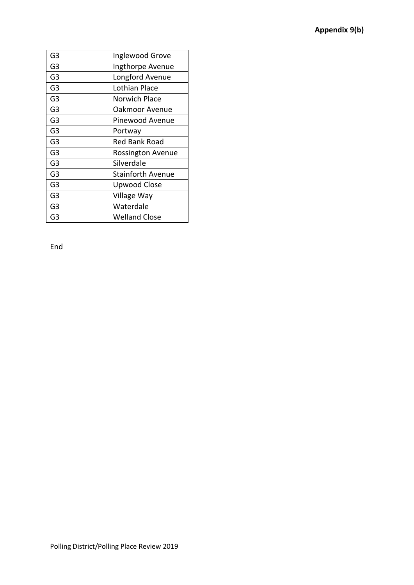| G3             | Inglewood Grove          |
|----------------|--------------------------|
| G3             | Ingthorpe Avenue         |
| G <sub>3</sub> | Longford Avenue          |
| G <sub>3</sub> | Lothian Place            |
| G3             | Norwich Place            |
| G <sub>3</sub> | Oakmoor Avenue           |
| G <sub>3</sub> | Pinewood Avenue          |
| G3             | Portway                  |
| G <sub>3</sub> | Red Bank Road            |
| G <sub>3</sub> | <b>Rossington Avenue</b> |
| G <sub>3</sub> | Silverdale               |
| G3             | <b>Stainforth Avenue</b> |
| G <sub>3</sub> | Upwood Close             |
| G <sub>3</sub> | Village Way              |
| G3             | Waterdale                |
| G3             | <b>Welland Close</b>     |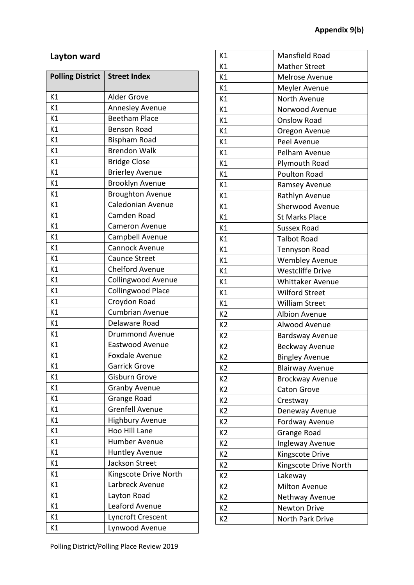## **Layton ward**

| <b>Polling District</b> | <b>Street Index</b>       |
|-------------------------|---------------------------|
| K1                      | Alder Grove               |
| K1                      | <b>Annesley Avenue</b>    |
| K1                      | <b>Beetham Place</b>      |
| K1                      | <b>Benson Road</b>        |
| K1                      | <b>Bispham Road</b>       |
| K1                      | <b>Brendon Walk</b>       |
| K1                      | <b>Bridge Close</b>       |
| K1                      | <b>Brierley Avenue</b>    |
| K1                      | Brooklyn Avenue           |
| K1                      | <b>Broughton Avenue</b>   |
| K1                      | Caledonian Avenue         |
| K1                      | Camden Road               |
| K1                      | <b>Cameron Avenue</b>     |
| K1                      | Campbell Avenue           |
| K1                      | <b>Cannock Avenue</b>     |
| K1                      | Caunce Street             |
| K1                      | <b>Chelford Avenue</b>    |
| K1                      | <b>Collingwood Avenue</b> |
| K1                      | <b>Collingwood Place</b>  |
| K1                      | Croydon Road              |
| K1                      | <b>Cumbrian Avenue</b>    |
| K1                      | Delaware Road             |
| K1                      | <b>Drummond Avenue</b>    |
| K1                      | Eastwood Avenue           |
| K1                      | <b>Foxdale Avenue</b>     |
| K1                      | <b>Garrick Grove</b>      |
| К1                      | <b>Gisburn Grove</b>      |
| K1                      | <b>Granby Avenue</b>      |
| K1                      | Grange Road               |
| K1                      | <b>Grenfell Avenue</b>    |
| K1                      | <b>Highbury Avenue</b>    |
| K1                      | Hoo Hill Lane             |
| K1                      | Humber Avenue             |
| K1                      | <b>Huntley Avenue</b>     |
| K1                      | Jackson Street            |
| K1                      | Kingscote Drive North     |
| K1                      | Larbreck Avenue           |
| K1                      | Layton Road               |
| K1                      | Leaford Avenue            |
| K1                      | Lyncroft Crescent         |
| К1                      | Lynwood Avenue            |

| K1             | Mansfield Road          |
|----------------|-------------------------|
| K1             | <b>Mather Street</b>    |
| K1             | Melrose Avenue          |
| K1             | Meyler Avenue           |
| K1             | North Avenue            |
| K1             | Norwood Avenue          |
| K1             | <b>Onslow Road</b>      |
| K1             | Oregon Avenue           |
| K1             | Peel Avenue             |
| K1             | Pelham Avenue           |
| K1             | Plymouth Road           |
| K1             | Poulton Road            |
| K1             | Ramsey Avenue           |
| K1             | Rathlyn Avenue          |
| K1             | Sherwood Avenue         |
| K1             | <b>St Marks Place</b>   |
| K1             | <b>Sussex Road</b>      |
| K1             | <b>Talbot Road</b>      |
| K1             | <b>Tennyson Road</b>    |
| K1             | <b>Wembley Avenue</b>   |
| K1             | <b>Westcliffe Drive</b> |
| K1             | <b>Whittaker Avenue</b> |
| K1             | <b>Wilford Street</b>   |
| K1             | <b>William Street</b>   |
| K <sub>2</sub> | <b>Albion Avenue</b>    |
| K <sub>2</sub> | Alwood Avenue           |
| K <sub>2</sub> | <b>Bardsway Avenue</b>  |
| K <sub>2</sub> | Beckway Avenue          |
| K2             | <b>Bingley Avenue</b>   |
| K <sub>2</sub> | <b>Blairway Avenue</b>  |
| K <sub>2</sub> | Brockway Avenue         |
| K2             | <b>Caton Grove</b>      |
| K <sub>2</sub> | Crestway                |
| K <sub>2</sub> | Deneway Avenue          |
| K <sub>2</sub> | Fordway Avenue          |
| K <sub>2</sub> | Grange Road             |
| K <sub>2</sub> | Ingleway Avenue         |
| K <sub>2</sub> | Kingscote Drive         |
| K2             | Kingscote Drive North   |
| K <sub>2</sub> | Lakeway                 |
| K2             | <b>Milton Avenue</b>    |
| K <sub>2</sub> | Nethway Avenue          |
| K <sub>2</sub> | <b>Newton Drive</b>     |
| K <sub>2</sub> | North Park Drive        |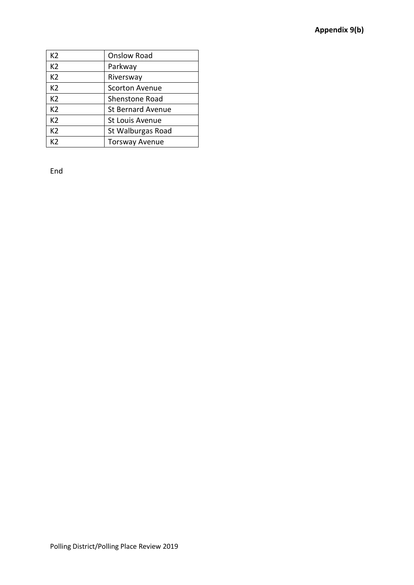| K2             | <b>Onslow Road</b>       |
|----------------|--------------------------|
| K <sub>2</sub> | Parkway                  |
| K <sub>2</sub> | Riversway                |
| K <sub>2</sub> | <b>Scorton Avenue</b>    |
| K <sub>2</sub> | <b>Shenstone Road</b>    |
| K <sub>2</sub> | <b>St Bernard Avenue</b> |
| K <sub>2</sub> | <b>St Louis Avenue</b>   |
| K <sub>2</sub> | St Walburgas Road        |
| K2             | <b>Torsway Avenue</b>    |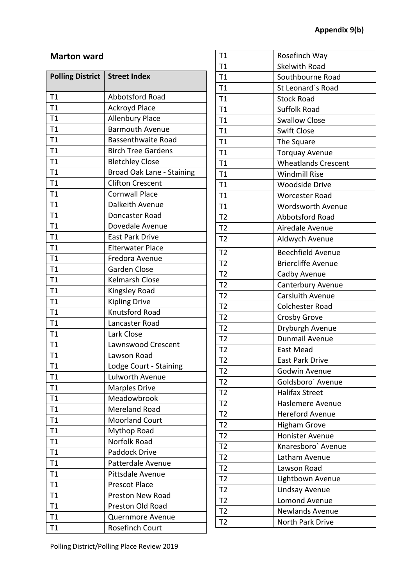#### **Marton ward**

| <b>Polling District</b> | <b>Street Index</b>       |
|-------------------------|---------------------------|
| T1                      | Abbotsford Road           |
| T1                      | <b>Ackroyd Place</b>      |
| T1                      | <b>Allenbury Place</b>    |
| T1                      | <b>Barmouth Avenue</b>    |
| T1                      | <b>Bassenthwaite Road</b> |
| T1                      | <b>Birch Tree Gardens</b> |
| T1                      | <b>Bletchley Close</b>    |
| T1                      | Broad Oak Lane - Staining |
| T1                      | <b>Clifton Crescent</b>   |
| T1                      | <b>Cornwall Place</b>     |
| T1                      | Dalkeith Avenue           |
| T1                      | Doncaster Road            |
| T1                      | Dovedale Avenue           |
| T1                      | <b>East Park Drive</b>    |
| T1                      | <b>Elterwater Place</b>   |
| T1                      | Fredora Avenue            |
| T1                      | <b>Garden Close</b>       |
| T1                      | <b>Kelmarsh Close</b>     |
| T1                      | Kingsley Road             |
| T1                      | <b>Kipling Drive</b>      |
| T1                      | Knutsford Road            |
| T1                      | Lancaster Road            |
| T1                      | Lark Close                |
| T1                      | Lawnswood Crescent        |
| T1                      | Lawson Road               |
| T1                      | Lodge Court - Staining    |
| T1                      | <b>Lulworth Avenue</b>    |
| Τ1                      | <b>Marples Drive</b>      |
| T1                      | Meadowbrook               |
| T1                      | Mereland Road             |
| T1                      | <b>Moorland Court</b>     |
| T1                      | Mythop Road               |
| T1                      | Norfolk Road              |
| T1                      | Paddock Drive             |
| T1                      | Patterdale Avenue         |
| T1                      | Pittsdale Avenue          |
| T1                      | <b>Prescot Place</b>      |
| T1                      | <b>Preston New Road</b>   |
| T1                      | Preston Old Road          |
| T1                      | Quernmore Avenue          |
| T1                      | <b>Rosefinch Court</b>    |

| T1             | Rosefinch Way              |
|----------------|----------------------------|
| T1             | <b>Skelwith Road</b>       |
| T1             | Southbourne Road           |
| T1             | St Leonard's Road          |
| T1             | <b>Stock Road</b>          |
| T1             | <b>Suffolk Road</b>        |
| T1             | <b>Swallow Close</b>       |
| T1             | <b>Swift Close</b>         |
| T1             | The Square                 |
| T1             | <b>Torquay Avenue</b>      |
| T1             | <b>Wheatlands Crescent</b> |
| T1             | <b>Windmill Rise</b>       |
| T1             | <b>Woodside Drive</b>      |
| T1             | <b>Worcester Road</b>      |
| T1             | <b>Wordsworth Avenue</b>   |
| T <sub>2</sub> | Abbotsford Road            |
| T <sub>2</sub> | Airedale Avenue            |
| T <sub>2</sub> | Aldwych Avenue             |
| T <sub>2</sub> | <b>Beechfield Avenue</b>   |
| T <sub>2</sub> | <b>Briercliffe Avenue</b>  |
| T <sub>2</sub> | Cadby Avenue               |
| T <sub>2</sub> | Canterbury Avenue          |
| T <sub>2</sub> | <b>Carsluith Avenue</b>    |
| T <sub>2</sub> | <b>Colchester Road</b>     |
| T <sub>2</sub> | <b>Crosby Grove</b>        |
| T <sub>2</sub> | Dryburgh Avenue            |
| T <sub>2</sub> | Dunmail Avenue             |
| T <sub>2</sub> | East Mead                  |
| T2             | <b>East Park Drive</b>     |
| T <sub>2</sub> | Godwin Avenue              |
| T <sub>2</sub> | Goldsboro` Avenue          |
| T <sub>2</sub> | <b>Halifax Street</b>      |
| T <sub>2</sub> | Haslemere Avenue           |
| T <sub>2</sub> | <b>Hereford Avenue</b>     |
| T <sub>2</sub> | <b>Higham Grove</b>        |
| T <sub>2</sub> | Honister Avenue            |
| T <sub>2</sub> | Knaresboro' Avenue         |
| T <sub>2</sub> | Latham Avenue              |
| T <sub>2</sub> | Lawson Road                |
| T <sub>2</sub> | Lightbown Avenue           |
| T <sub>2</sub> | Lindsay Avenue             |
| T <sub>2</sub> | <b>Lomond Avenue</b>       |
| T <sub>2</sub> | Newlands Avenue            |
| T <sub>2</sub> | North Park Drive           |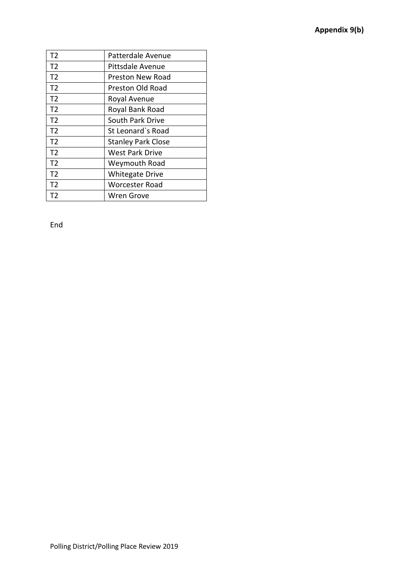| T <sub>2</sub> | Patterdale Avenue         |
|----------------|---------------------------|
| T2             | Pittsdale Avenue          |
| T <sub>2</sub> | Preston New Road          |
| T <sub>2</sub> | Preston Old Road          |
| T <sub>2</sub> | Royal Avenue              |
| T2             | Royal Bank Road           |
| T <sub>2</sub> | <b>South Park Drive</b>   |
| T <sub>2</sub> | St Leonard's Road         |
| T <sub>2</sub> | <b>Stanley Park Close</b> |
| T <sub>2</sub> | <b>West Park Drive</b>    |
| T <sub>2</sub> | Weymouth Road             |
| T <sub>2</sub> | <b>Whitegate Drive</b>    |
| T <sub>2</sub> | Worcester Road            |
| Т2             | Wren Grove                |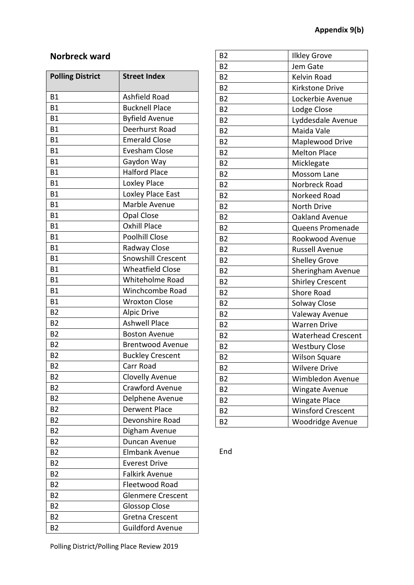## **Norbreck ward**

| <b>Polling District</b> | <b>Street Index</b>       |
|-------------------------|---------------------------|
| <b>B1</b>               | Ashfield Road             |
| <b>B1</b>               | <b>Bucknell Place</b>     |
| <b>B1</b>               | <b>Byfield Avenue</b>     |
| <b>B1</b>               | Deerhurst Road            |
| <b>B1</b>               | <b>Emerald Close</b>      |
| <b>B1</b>               | <b>Evesham Close</b>      |
| Β1                      | Gaydon Way                |
| <b>B1</b>               | <b>Halford Place</b>      |
| <b>B1</b>               | Loxley Place              |
| <b>B1</b>               | Loxley Place East         |
| <b>B1</b>               | Marble Avenue             |
| B1                      | <b>Opal Close</b>         |
| <b>B1</b>               | <b>Oxhill Place</b>       |
| <b>B1</b>               | <b>Poolhill Close</b>     |
| <b>B1</b>               | Radway Close              |
| <b>B1</b>               | <b>Snowshill Crescent</b> |
| <b>B1</b>               | <b>Wheatfield Close</b>   |
| <b>B1</b>               | Whiteholme Road           |
| <b>B1</b>               | Winchcombe Road           |
| <b>B1</b>               | <b>Wroxton Close</b>      |
| <b>B2</b>               | <b>Alpic Drive</b>        |
| <b>B2</b>               | <b>Ashwell Place</b>      |
| <b>B2</b>               | <b>Boston Avenue</b>      |
| <b>B2</b>               | <b>Brentwood Avenue</b>   |
| <b>B2</b>               | <b>Buckley Crescent</b>   |
| <b>B2</b>               | Carr Road                 |
| <b>B2</b>               | Clovelly Avenue           |
| B <sub>2</sub>          | <b>Crawford Avenue</b>    |
| <b>B2</b>               | Delphene Avenue           |
| B <sub>2</sub>          | <b>Derwent Place</b>      |
| B <sub>2</sub>          | Devonshire Road           |
| B <sub>2</sub>          | Digham Avenue             |
| <b>B2</b>               | Duncan Avenue             |
| <b>B2</b>               | <b>Elmbank Avenue</b>     |
| <b>B2</b>               | <b>Everest Drive</b>      |
| <b>B2</b>               | <b>Falkirk Avenue</b>     |
| <b>B2</b>               | Fleetwood Road            |
| <b>B2</b>               | <b>Glenmere Crescent</b>  |
| B <sub>2</sub>          | <b>Glossop Close</b>      |
| <b>B2</b>               | Gretna Crescent           |
| B <sub>2</sub>          | Guildford Avenue          |

| B <sub>2</sub> | <b>Ilkley Grove</b>       |
|----------------|---------------------------|
| <b>B2</b>      | Jem Gate                  |
| <b>B2</b>      | Kelvin Road               |
| <b>B2</b>      | Kirkstone Drive           |
| B <sub>2</sub> | Lockerbie Avenue          |
| <b>B2</b>      | Lodge Close               |
| <b>B2</b>      | Lyddesdale Avenue         |
| B <sub>2</sub> | Maida Vale                |
| <b>B2</b>      | Maplewood Drive           |
| <b>B2</b>      | <b>Melton Place</b>       |
| <b>B2</b>      | Micklegate                |
| <b>B2</b>      | <b>Mossom Lane</b>        |
| <b>B2</b>      | Norbreck Road             |
| <b>B2</b>      | Norkeed Road              |
| B <sub>2</sub> | <b>North Drive</b>        |
| <b>B2</b>      | Oakland Avenue            |
| <b>B2</b>      | Queens Promenade          |
| B <sub>2</sub> | Rookwood Avenue           |
| <b>B2</b>      | <b>Russell Avenue</b>     |
| <b>B2</b>      | <b>Shelley Grove</b>      |
| <b>B2</b>      | Sheringham Avenue         |
| <b>B2</b>      | <b>Shirley Crescent</b>   |
| B <sub>2</sub> | <b>Shore Road</b>         |
| <b>B2</b>      | Solway Close              |
| <b>B2</b>      | Valeway Avenue            |
| B <sub>2</sub> | <b>Warren Drive</b>       |
| <b>B2</b>      | <b>Waterhead Crescent</b> |
| <b>B2</b>      | <b>Westbury Close</b>     |
| B <sub>2</sub> | <b>Wilson Square</b>      |
| <b>B2</b>      | <b>Wilvere Drive</b>      |
| <b>B2</b>      | Wimbledon Avenue          |
| B <sub>2</sub> | <b>Wingate Avenue</b>     |
| B <sub>2</sub> | <b>Wingate Place</b>      |
| B <sub>2</sub> | <b>Winsford Crescent</b>  |
| <b>B2</b>      | Woodridge Avenue          |

End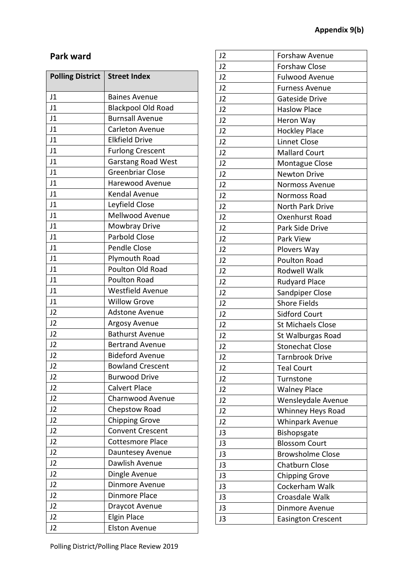## **Park ward**

| <b>Polling District</b> | <b>Street Index</b>       |
|-------------------------|---------------------------|
| J1                      | <b>Baines Avenue</b>      |
| J <sub>1</sub>          | <b>Blackpool Old Road</b> |
| J1                      | <b>Burnsall Avenue</b>    |
| J1                      | Carleton Avenue           |
| J <sub>1</sub>          | <b>Elkfield Drive</b>     |
| J1                      | <b>Furlong Crescent</b>   |
| J <sub>1</sub>          | Garstang Road West        |
| J1                      | <b>Greenbriar Close</b>   |
| J1                      | <b>Harewood Avenue</b>    |
| J1                      | Kendal Avenue             |
| J1                      | Leyfield Close            |
| J1                      | <b>Mellwood Avenue</b>    |
| J1                      | Mowbray Drive             |
| J1                      | <b>Parbold Close</b>      |
| J1                      | Pendle Close              |
| J1                      | Plymouth Road             |
| J1                      | Poulton Old Road          |
| J1                      | Poulton Road              |
| J <sub>1</sub>          | <b>Westfield Avenue</b>   |
| J1                      | <b>Willow Grove</b>       |
| J2                      | <b>Adstone Avenue</b>     |
| J <sub>2</sub>          | Argosy Avenue             |
| J2                      | <b>Bathurst Avenue</b>    |
| J2                      | <b>Bertrand Avenue</b>    |
| J <sub>2</sub>          | <b>Bideford Avenue</b>    |
| J <sub>2</sub>          | <b>Bowland Crescent</b>   |
| J <sub>2</sub>          | <b>Burwood Drive</b>      |
| J2                      | <b>Calvert Place</b>      |
| J2                      | Charnwood Avenue          |
| J <sub>2</sub>          | Chepstow Road             |
| J <sub>2</sub>          | <b>Chipping Grove</b>     |
| J <sub>2</sub>          | <b>Convent Crescent</b>   |
| J2                      | <b>Cottesmore Place</b>   |
| J <sub>2</sub>          | Dauntesey Avenue          |
| J <sub>2</sub>          | Dawlish Avenue            |
| J2                      | Dingle Avenue             |
| J2                      | Dinmore Avenue            |
| J2                      | <b>Dinmore Place</b>      |
| J <sub>2</sub>          | Draycot Avenue            |
| J2                      | <b>Elgin Place</b>        |
| J2                      | <b>Elston Avenue</b>      |

| J2             | <b>Forshaw Avenue</b>     |
|----------------|---------------------------|
| J2             | <b>Forshaw Close</b>      |
| J2             | <b>Fulwood Avenue</b>     |
| J2             | <b>Furness Avenue</b>     |
| J2             | Gateside Drive            |
| J2             | <b>Haslow Place</b>       |
| J <sub>2</sub> | Heron Way                 |
| J2             | <b>Hockley Place</b>      |
| J2             | Linnet Close              |
| J <sub>2</sub> | <b>Mallard Court</b>      |
| J2             | Montague Close            |
| J2             | <b>Newton Drive</b>       |
| J2             | <b>Normoss Avenue</b>     |
| J2             | Normoss Road              |
| J2             | North Park Drive          |
| J2             | Oxenhurst Road            |
| J <sub>2</sub> | Park Side Drive           |
| J2             | Park View                 |
| J2             | Plovers Way               |
| J2             | Poulton Road              |
| J2             | Rodwell Walk              |
| J2             | <b>Rudyard Place</b>      |
| J2             | <b>Sandpiper Close</b>    |
| J <sub>2</sub> | <b>Shore Fields</b>       |
| J2             | <b>Sidford Court</b>      |
| J2             | <b>St Michaels Close</b>  |
| J2             | St Walburgas Road         |
| J2             | <b>Stonechat Close</b>    |
| J2             | <b>Tarnbrook Drive</b>    |
| J2             | <b>Teal Court</b>         |
| J <sub>2</sub> | Turnstone                 |
| J <sub>2</sub> | <b>Walney Place</b>       |
| J2             | Wensleydale Avenue        |
| J2             | Whinney Heys Road         |
| J <sub>2</sub> | <b>Whinpark Avenue</b>    |
| J3             | Bishopsgate               |
| J3             | <b>Blossom Court</b>      |
| J3             | <b>Browsholme Close</b>   |
| J3             | <b>Chatburn Close</b>     |
| J3             | <b>Chipping Grove</b>     |
| J3             | Cockerham Walk            |
| J3             | Croasdale Walk            |
| J3             | Dinmore Avenue            |
| J3             | <b>Easington Crescent</b> |
|                |                           |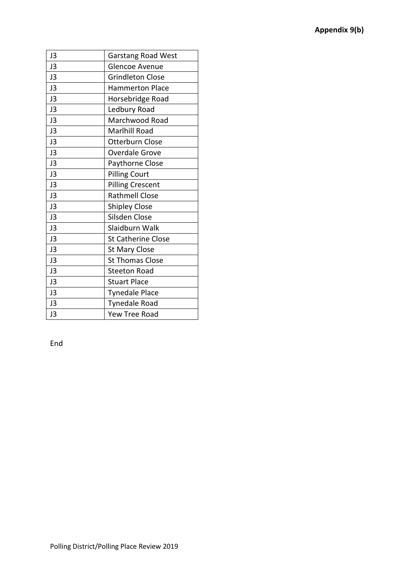| <b>Garstang Road West</b> |
|---------------------------|
| <b>Glencoe Avenue</b>     |
| <b>Grindleton Close</b>   |
| <b>Hammerton Place</b>    |
| Horsebridge Road          |
| Ledbury Road              |
| Marchwood Road            |
| Marlhill Road             |
| Otterburn Close           |
| <b>Overdale Grove</b>     |
| Paythorne Close           |
| <b>Pilling Court</b>      |
| <b>Pilling Crescent</b>   |
| <b>Rathmell Close</b>     |
| <b>Shipley Close</b>      |
| Silsden Close             |
| Slaidburn Walk            |
| <b>St Catherine Close</b> |
| <b>St Mary Close</b>      |
| <b>St Thomas Close</b>    |
| <b>Steeton Road</b>       |
| <b>Stuart Place</b>       |
| <b>Tynedale Place</b>     |
| Tynedale Road             |
| Yew Tree Road             |
|                           |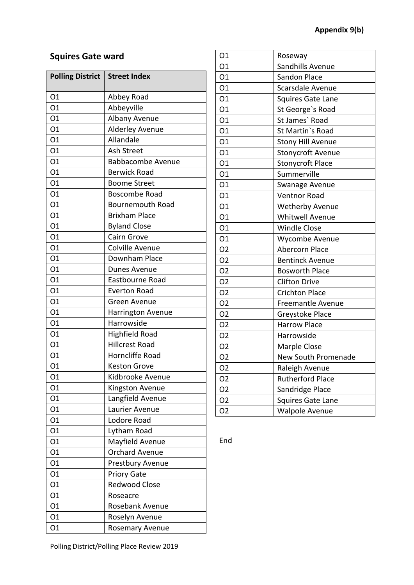## **Squires Gate ward**

| <b>Polling District</b> | <b>Street Index</b>      |
|-------------------------|--------------------------|
| 01                      | Abbey Road               |
| O1                      | Abbeyville               |
| 01                      | Albany Avenue            |
| 01                      | Alderley Avenue          |
| 01                      | Allandale                |
| 01                      | Ash Street               |
| 01                      | <b>Babbacombe Avenue</b> |
| O1                      | <b>Berwick Road</b>      |
| O1                      | <b>Boome Street</b>      |
| 01                      | Boscombe Road            |
| 01                      | <b>Bournemouth Road</b>  |
| 01                      | <b>Brixham Place</b>     |
| 01                      | <b>Byland Close</b>      |
| O1                      | <b>Cairn Grove</b>       |
| 01                      | <b>Colville Avenue</b>   |
| 01                      | Downham Place            |
| 01                      | Dunes Avenue             |
| 01                      | Eastbourne Road          |
| 01                      | <b>Everton Road</b>      |
| 01                      | Green Avenue             |
| 01                      | Harrington Avenue        |
| 01                      | Harrowside               |
| 01                      | <b>Highfield Road</b>    |
| 01                      | <b>Hillcrest Road</b>    |
| 01                      | Horncliffe Road          |
| 01                      | <b>Keston Grove</b>      |
| 01                      | Kidbrooke Avenue         |
| 01                      | Kingston Avenue          |
| 01                      | Langfield Avenue         |
| O1                      | Laurier Avenue           |
| 01                      | Lodore Road              |
| O1                      | Lytham Road              |
| 01                      | Mayfield Avenue          |
| 01                      | <b>Orchard Avenue</b>    |
| O1                      | Prestbury Avenue         |
| O1                      | <b>Priory Gate</b>       |
| O1                      | <b>Redwood Close</b>     |
| 01                      | Roseacre                 |
| 01                      | Rosebank Avenue          |
| O1                      | Roselyn Avenue           |
| 01                      | Rosemary Avenue          |

| 01             | Roseway                    |
|----------------|----------------------------|
| 01             | Sandhills Avenue           |
| 01             | Sandon Place               |
| O1             | Scarsdale Avenue           |
| 01             | <b>Squires Gate Lane</b>   |
| 01             | St George's Road           |
| O1             | St James' Road             |
| O1             | St Martin's Road           |
| 01             | <b>Stony Hill Avenue</b>   |
| O1             | <b>Stonycroft Avenue</b>   |
| O1             | <b>Stonycroft Place</b>    |
| 01             | Summerville                |
| 01             | Swanage Avenue             |
| 01             | <b>Ventnor Road</b>        |
| 01             | <b>Wetherby Avenue</b>     |
| 01             | <b>Whitwell Avenue</b>     |
| 01             | <b>Windle Close</b>        |
| 01             | Wycombe Avenue             |
| O <sub>2</sub> | <b>Abercorn Place</b>      |
| O <sub>2</sub> | <b>Bentinck Avenue</b>     |
| O <sub>2</sub> | <b>Bosworth Place</b>      |
| O <sub>2</sub> | <b>Clifton Drive</b>       |
| O <sub>2</sub> | <b>Crichton Place</b>      |
| O <sub>2</sub> | <b>Freemantle Avenue</b>   |
| O <sub>2</sub> | Greystoke Place            |
| O <sub>2</sub> | <b>Harrow Place</b>        |
| O <sub>2</sub> | Harrowside                 |
| O <sub>2</sub> | Marple Close               |
| O2             | <b>New South Promenade</b> |
| 02             | Raleigh Avenue             |
| O <sub>2</sub> | <b>Rutherford Place</b>    |
| O <sub>2</sub> | Sandridge Place            |
| O <sub>2</sub> | <b>Squires Gate Lane</b>   |
| 02             | <b>Walpole Avenue</b>      |

End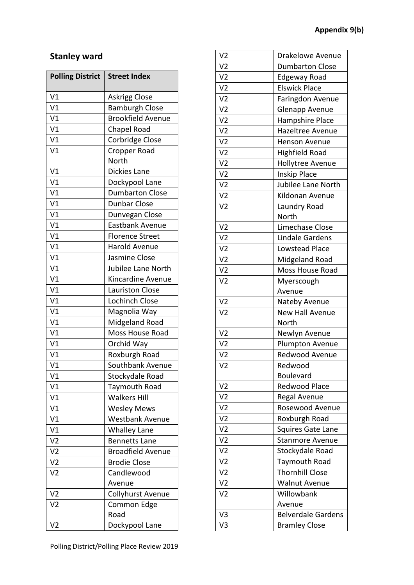## **Stanley ward**

| <b>Polling District</b> | <b>Street Index</b>      |
|-------------------------|--------------------------|
| V <sub>1</sub>          | <b>Askrigg Close</b>     |
| V <sub>1</sub>          | <b>Bamburgh Close</b>    |
| V <sub>1</sub>          | <b>Brookfield Avenue</b> |
| V <sub>1</sub>          | Chapel Road              |
| V <sub>1</sub>          | Corbridge Close          |
| V <sub>1</sub>          | <b>Cropper Road</b>      |
|                         | North                    |
| V <sub>1</sub>          | Dickies Lane             |
| V <sub>1</sub>          | Dockypool Lane           |
| V <sub>1</sub>          | <b>Dumbarton Close</b>   |
| V <sub>1</sub>          | <b>Dunbar Close</b>      |
| V <sub>1</sub>          | Dunvegan Close           |
| V <sub>1</sub>          | Eastbank Avenue          |
| V <sub>1</sub>          | <b>Florence Street</b>   |
| V <sub>1</sub>          | <b>Harold Avenue</b>     |
| V <sub>1</sub>          | Jasmine Close            |
| V <sub>1</sub>          | Jubilee Lane North       |
| V <sub>1</sub>          | Kincardine Avenue        |
| V <sub>1</sub>          | <b>Lauriston Close</b>   |
| V <sub>1</sub>          | <b>Lochinch Close</b>    |
| V1                      | Magnolia Way             |
| V <sub>1</sub>          | Midgeland Road           |
| V <sub>1</sub>          | Moss House Road          |
| V <sub>1</sub>          | Orchid Way               |
| V <sub>1</sub>          | Roxburgh Road            |
| V <sub>1</sub>          | Southbank Avenue         |
| V <sub>1</sub>          | Stockydale Road          |
| V <sub>1</sub>          | <b>Taymouth Road</b>     |
| V <sub>1</sub>          | <b>Walkers Hill</b>      |
| V <sub>1</sub>          | <b>Wesley Mews</b>       |
| V <sub>1</sub>          | <b>Westbank Avenue</b>   |
| V <sub>1</sub>          | <b>Whalley Lane</b>      |
| V <sub>2</sub>          | <b>Bennetts Lane</b>     |
| V <sub>2</sub>          | <b>Broadfield Avenue</b> |
| V <sub>2</sub>          | <b>Brodie Close</b>      |
| V <sub>2</sub>          | Candlewood               |
|                         | Avenue                   |
| V <sub>2</sub>          | Collyhurst Avenue        |
| V <sub>2</sub>          | Common Edge              |
|                         | Road                     |
| V <sub>2</sub>          | Dockypool Lane           |

| V <sub>2</sub> | <b>Drakelowe Avenue</b>   |
|----------------|---------------------------|
| V <sub>2</sub> | <b>Dumbarton Close</b>    |
| V <sub>2</sub> | <b>Edgeway Road</b>       |
| V <sub>2</sub> | <b>Elswick Place</b>      |
| V <sub>2</sub> | Faringdon Avenue          |
| V <sub>2</sub> | <b>Glenapp Avenue</b>     |
| V <sub>2</sub> | Hampshire Place           |
| V <sub>2</sub> | Hazeltree Avenue          |
| V <sub>2</sub> | <b>Henson Avenue</b>      |
| V <sub>2</sub> | <b>Highfield Road</b>     |
| V <sub>2</sub> | <b>Hollytree Avenue</b>   |
| V <sub>2</sub> | <b>Inskip Place</b>       |
| V <sub>2</sub> | Jubilee Lane North        |
| V <sub>2</sub> | Kildonan Avenue           |
| V <sub>2</sub> | Laundry Road              |
|                | North                     |
| V <sub>2</sub> | Limechase Close           |
| V <sub>2</sub> | <b>Lindale Gardens</b>    |
| V <sub>2</sub> | <b>Lowstead Place</b>     |
| V <sub>2</sub> | Midgeland Road            |
| V <sub>2</sub> | <b>Moss House Road</b>    |
| V <sub>2</sub> | Myerscough                |
|                | Avenue                    |
| V <sub>2</sub> | Nateby Avenue             |
| V <sub>2</sub> | New Hall Avenue           |
|                | North                     |
| V <sub>2</sub> | Newlyn Avenue             |
| V <sub>2</sub> | Plumpton Avenue           |
| V <sub>2</sub> | <b>Redwood Avenue</b>     |
| V2             | Redwood                   |
|                | <b>Boulevard</b>          |
| V <sub>2</sub> | <b>Redwood Place</b>      |
| V <sub>2</sub> | Regal Avenue              |
| V <sub>2</sub> | Rosewood Avenue           |
| V <sub>2</sub> | Roxburgh Road             |
| V <sub>2</sub> | <b>Squires Gate Lane</b>  |
| V <sub>2</sub> | Stanmore Avenue           |
| V <sub>2</sub> | Stockydale Road           |
| V <sub>2</sub> | Taymouth Road             |
| V <sub>2</sub> | <b>Thornhill Close</b>    |
| V <sub>2</sub> | <b>Walnut Avenue</b>      |
| V <sub>2</sub> | Willowbank                |
|                | Avenue                    |
| V3             | <b>Belverdale Gardens</b> |
| V3             | <b>Bramley Close</b>      |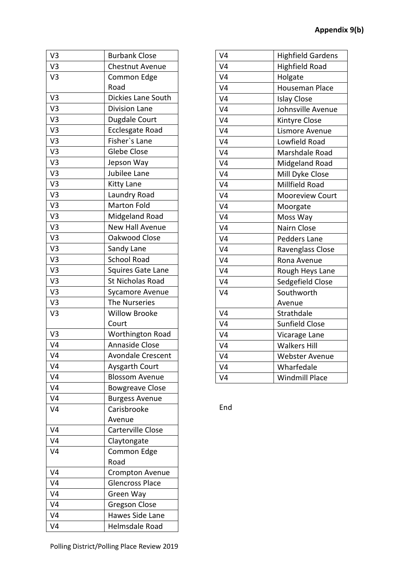| V3             | <b>Burbank Close</b>     |
|----------------|--------------------------|
| V3             | <b>Chestnut Avenue</b>   |
| V <sub>3</sub> | Common Edge              |
|                | Road                     |
| V <sub>3</sub> | Dickies Lane South       |
| V3             | <b>Division Lane</b>     |
| V <sub>3</sub> | Dugdale Court            |
| V <sub>3</sub> | Ecclesgate Road          |
| V3             | Fisher's Lane            |
| V3             | <b>Glebe Close</b>       |
| V <sub>3</sub> | Jepson Way               |
| V <sub>3</sub> | Jubilee Lane             |
| V <sub>3</sub> | <b>Kitty Lane</b>        |
| V <sub>3</sub> | Laundry Road             |
| V3             | <b>Marton Fold</b>       |
| V3             | Midgeland Road           |
| V3             | <b>New Hall Avenue</b>   |
| V3             | Oakwood Close            |
| V <sub>3</sub> | Sandy Lane               |
| V3             | <b>School Road</b>       |
| V <sub>3</sub> | <b>Squires Gate Lane</b> |
| V3             | St Nicholas Road         |
| V3             | Sycamore Avenue          |
| V <sub>3</sub> | The Nurseries            |
| V <sub>3</sub> | <b>Willow Brooke</b>     |
|                | Court                    |
| V3             | Worthington Road         |
| V <sub>4</sub> | Annaside Close           |
| V <sub>4</sub> | <b>Avondale Crescent</b> |
| V4             | Aysgarth Court           |
| V4             | <b>Blossom Avenue</b>    |
| V4             | <b>Bowgreave Close</b>   |
| V <sub>4</sub> | <b>Burgess Avenue</b>    |
| V <sub>4</sub> | Carisbrooke              |
|                | Avenue                   |
| V4             | <b>Carterville Close</b> |
| V4             | Claytongate              |
| V <sub>4</sub> | Common Edge              |
|                | Road                     |
| V4             | Crompton Avenue          |
| V4             | <b>Glencross Place</b>   |
| V <sub>4</sub> | Green Way                |
| V <sub>4</sub> | Gregson Close            |
| V <sub>4</sub> | Hawes Side Lane          |
| V <sub>4</sub> | Helmsdale Road           |

| V <sub>4</sub> | <b>Highfield Gardens</b> |
|----------------|--------------------------|
| V <sub>4</sub> | <b>Highfield Road</b>    |
| V <sub>4</sub> | Holgate                  |
| V <sub>4</sub> | Houseman Place           |
| V <sub>4</sub> | <b>Islay Close</b>       |
| V <sub>4</sub> | Johnsville Avenue        |
| V <sub>4</sub> | Kintyre Close            |
| V <sub>4</sub> | Lismore Avenue           |
| V <sub>4</sub> | Lowfield Road            |
| V <sub>4</sub> | Marshdale Road           |
| V <sub>4</sub> | Midgeland Road           |
| V <sub>4</sub> | Mill Dyke Close          |
| V <sub>4</sub> | Millfield Road           |
| V <sub>4</sub> | Mooreview Court          |
| V <sub>4</sub> | Moorgate                 |
| V <sub>4</sub> | Moss Way                 |
| V <sub>4</sub> | Nairn Close              |
| V <sub>4</sub> | Pedders Lane             |
| V <sub>4</sub> | Ravenglass Close         |
| V <sub>4</sub> | Rona Avenue              |
| V <sub>4</sub> | Rough Heys Lane          |
| V <sub>4</sub> | Sedgefield Close         |
| V <sub>4</sub> | Southworth               |
|                | Avenue                   |
| V <sub>4</sub> | Strathdale               |
| V <sub>4</sub> | <b>Sunfield Close</b>    |
| V <sub>4</sub> | Vicarage Lane            |
| V <sub>4</sub> | <b>Walkers Hill</b>      |
| V <sub>4</sub> | <b>Webster Avenue</b>    |
| V <sub>4</sub> | Wharfedale               |
| V <sub>4</sub> | <b>Windmill Place</b>    |
|                |                          |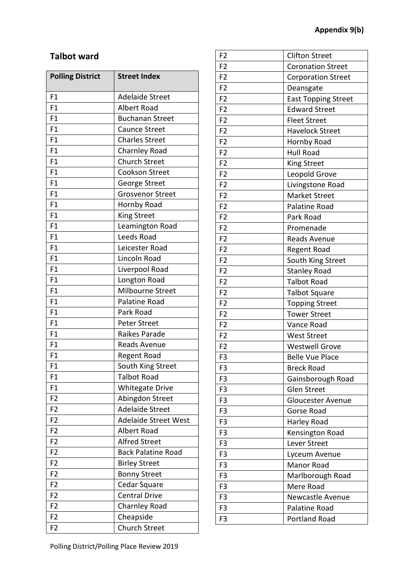## **Talbot ward**

| <b>Polling District</b> | <b>Street Index</b>         |
|-------------------------|-----------------------------|
| F1                      | <b>Adelaide Street</b>      |
| F1                      | <b>Albert Road</b>          |
| F <sub>1</sub>          | <b>Buchanan Street</b>      |
| F1                      | Caunce Street               |
| F <sub>1</sub>          | <b>Charles Street</b>       |
| F1                      | <b>Charnley Road</b>        |
| F1                      | <b>Church Street</b>        |
| F1                      | <b>Cookson Street</b>       |
| F1                      | George Street               |
| F1                      | <b>Grosvenor Street</b>     |
| F1                      | Hornby Road                 |
| F <sub>1</sub>          | King Street                 |
| F <sub>1</sub>          | Leamington Road             |
| F1                      | Leeds Road                  |
| F <sub>1</sub>          | Leicester Road              |
| F1                      | Lincoln Road                |
| F1                      | Liverpool Road              |
| F1                      | Longton Road                |
| F <sub>1</sub>          | Milbourne Street            |
| F <sub>1</sub>          | Palatine Road               |
| F1                      | Park Road                   |
| F1                      | <b>Peter Street</b>         |
| F1                      | Raikes Parade               |
| F1                      | Reads Avenue                |
| F1                      | Regent Road                 |
| F1                      | South King Street           |
| F1                      | <b>Talbot Road</b>          |
| F1                      | <b>Whitegate Drive</b>      |
| F <sub>2</sub>          | Abingdon Street             |
| F <sub>2</sub>          | <b>Adelaide Street</b>      |
| F <sub>2</sub>          | <b>Adelaide Street West</b> |
| F <sub>2</sub>          | Albert Road                 |
| F <sub>2</sub>          | <b>Alfred Street</b>        |
| F <sub>2</sub>          | <b>Back Palatine Road</b>   |
| F <sub>2</sub>          | <b>Birley Street</b>        |
| F <sub>2</sub>          | <b>Bonny Street</b>         |
| F <sub>2</sub>          | Cedar Square                |
| F <sub>2</sub>          | <b>Central Drive</b>        |
| F <sub>2</sub>          | <b>Charnley Road</b>        |
| F <sub>2</sub>          | Cheapside                   |
| F <sub>2</sub>          | <b>Church Street</b>        |

| F <sub>2</sub> | <b>Clifton Street</b>      |
|----------------|----------------------------|
| F <sub>2</sub> | <b>Coronation Street</b>   |
| F <sub>2</sub> | <b>Corporation Street</b>  |
| F <sub>2</sub> | Deansgate                  |
| F <sub>2</sub> | <b>East Topping Street</b> |
| F <sub>2</sub> | <b>Edward Street</b>       |
| F <sub>2</sub> | <b>Fleet Street</b>        |
| F <sub>2</sub> | <b>Havelock Street</b>     |
| F <sub>2</sub> | Hornby Road                |
| F <sub>2</sub> | Hull Road                  |
| F <sub>2</sub> | King Street                |
| F <sub>2</sub> | Leopold Grove              |
| F <sub>2</sub> | Livingstone Road           |
| F <sub>2</sub> | <b>Market Street</b>       |
| F <sub>2</sub> | Palatine Road              |
| F <sub>2</sub> | Park Road                  |
| F <sub>2</sub> | Promenade                  |
| F <sub>2</sub> | <b>Reads Avenue</b>        |
| F <sub>2</sub> | <b>Regent Road</b>         |
| F <sub>2</sub> | South King Street          |
| F <sub>2</sub> | <b>Stanley Road</b>        |
| F <sub>2</sub> | <b>Talbot Road</b>         |
| F <sub>2</sub> | <b>Talbot Square</b>       |
| F <sub>2</sub> | <b>Topping Street</b>      |
| F <sub>2</sub> | <b>Tower Street</b>        |
| F <sub>2</sub> | Vance Road                 |
| F <sub>2</sub> | <b>West Street</b>         |
| F <sub>2</sub> | <b>Westwell Grove</b>      |
| F <sub>3</sub> | <b>Belle Vue Place</b>     |
| F3             | <b>Breck Road</b>          |
| F <sub>3</sub> | Gainsborough Road          |
| F <sub>3</sub> | <b>Glen Street</b>         |
| F <sub>3</sub> | <b>Gloucester Avenue</b>   |
| F <sub>3</sub> | Gorse Road                 |
| F <sub>3</sub> | Harley Road                |
| F3             | Kensington Road            |
| F <sub>3</sub> | Lever Street               |
| F <sub>3</sub> | Lyceum Avenue              |
| F <sub>3</sub> | Manor Road                 |
| F <sub>3</sub> | Marlborough Road           |
| F <sub>3</sub> | Mere Road                  |
| F3             | <b>Newcastle Avenue</b>    |
| F <sub>3</sub> | Palatine Road              |
| F <sub>3</sub> | <b>Portland Road</b>       |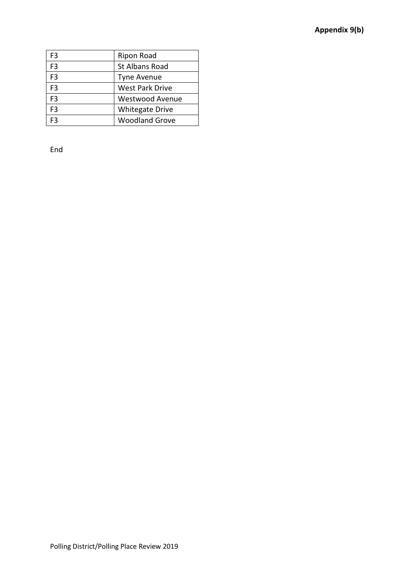| F3             | Ripon Road             |
|----------------|------------------------|
| F <sub>3</sub> | <b>St Albans Road</b>  |
| F <sub>3</sub> | <b>Tyne Avenue</b>     |
| F <sub>3</sub> | <b>West Park Drive</b> |
| F <sub>3</sub> | <b>Westwood Avenue</b> |
| F <sub>3</sub> | <b>Whitegate Drive</b> |
| F٩             | <b>Woodland Grove</b>  |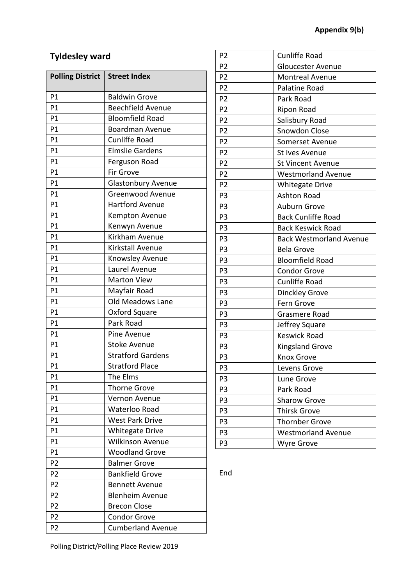# **Tyldesley ward**

| <b>Polling District</b> | <b>Street Index</b>       |
|-------------------------|---------------------------|
| P1                      | <b>Baldwin Grove</b>      |
| P <sub>1</sub>          | <b>Beechfield Avenue</b>  |
| P <sub>1</sub>          | <b>Bloomfield Road</b>    |
| P1                      | <b>Boardman Avenue</b>    |
| P1                      | <b>Cunliffe Road</b>      |
| P <sub>1</sub>          | <b>Elmslie Gardens</b>    |
| P1                      | Ferguson Road             |
| P1                      | <b>Fir Grove</b>          |
| P1                      | <b>Glastonbury Avenue</b> |
| P <sub>1</sub>          | Greenwood Avenue          |
| P1                      | <b>Hartford Avenue</b>    |
| P <sub>1</sub>          | Kempton Avenue            |
| P1                      | Kenwyn Avenue             |
| P1                      | Kirkham Avenue            |
| P1                      | Kirkstall Avenue          |
| P1                      | Knowsley Avenue           |
| P1                      | Laurel Avenue             |
| P1                      | <b>Marton View</b>        |
| P1                      | Mayfair Road              |
| P1                      | <b>Old Meadows Lane</b>   |
| P1                      | Oxford Square             |
| P1                      | Park Road                 |
| P <sub>1</sub>          | Pine Avenue               |
| P1                      | <b>Stoke Avenue</b>       |
| P1                      | <b>Stratford Gardens</b>  |
| P1                      | <b>Stratford Place</b>    |
| P1                      | The Elms                  |
| P1                      | Thorne Grove              |
| P <sub>1</sub>          | Vernon Avenue             |
| P1                      | Waterloo Road             |
| P1                      | <b>West Park Drive</b>    |
| P1                      | <b>Whitegate Drive</b>    |
| P1                      | <b>Wilkinson Avenue</b>   |
| P1                      | <b>Woodland Grove</b>     |
| P <sub>2</sub>          | <b>Balmer Grove</b>       |
| P <sub>2</sub>          | <b>Bankfield Grove</b>    |
| P <sub>2</sub>          | <b>Bennett Avenue</b>     |
| P <sub>2</sub>          | <b>Blenheim Avenue</b>    |
| P <sub>2</sub>          | <b>Brecon Close</b>       |
| P <sub>2</sub>          | <b>Condor Grove</b>       |
| P <sub>2</sub>          | <b>Cumberland Avenue</b>  |

| P <sub>2</sub> | <b>Cunliffe Road</b>           |
|----------------|--------------------------------|
| P <sub>2</sub> | <b>Gloucester Avenue</b>       |
| P <sub>2</sub> | <b>Montreal Avenue</b>         |
| P <sub>2</sub> | Palatine Road                  |
| P <sub>2</sub> | Park Road                      |
| P <sub>2</sub> | <b>Ripon Road</b>              |
| P <sub>2</sub> | Salisbury Road                 |
| P <sub>2</sub> | Snowdon Close                  |
| P <sub>2</sub> | Somerset Avenue                |
| P <sub>2</sub> | St Ives Avenue                 |
| P <sub>2</sub> | St Vincent Avenue              |
| P <sub>2</sub> | <b>Westmorland Avenue</b>      |
| P <sub>2</sub> | <b>Whitegate Drive</b>         |
| P3             | <b>Ashton Road</b>             |
| P <sub>3</sub> | <b>Auburn Grove</b>            |
| P <sub>3</sub> | <b>Back Cunliffe Road</b>      |
| P <sub>3</sub> | <b>Back Keswick Road</b>       |
| P <sub>3</sub> | <b>Back Westmorland Avenue</b> |
| P <sub>3</sub> | <b>Bela Grove</b>              |
| P <sub>3</sub> | <b>Bloomfield Road</b>         |
| P <sub>3</sub> | <b>Condor Grove</b>            |
| P <sub>3</sub> | <b>Cunliffe Road</b>           |
| P <sub>3</sub> | <b>Dinckley Grove</b>          |
| P <sub>3</sub> | Fern Grove                     |
| P <sub>3</sub> | Grasmere Road                  |
| P <sub>3</sub> | Jeffrey Square                 |
| P <sub>3</sub> | <b>Keswick Road</b>            |
| P <sub>3</sub> | <b>Kingsland Grove</b>         |
| P <sub>3</sub> | Knox Grove                     |
| P <sub>3</sub> | Levens Grove                   |
| P <sub>3</sub> | Lune Grove                     |
| P <sub>3</sub> | Park Road                      |
| P3             | <b>Sharow Grove</b>            |
| P <sub>3</sub> | <b>Thirsk Grove</b>            |
| P <sub>3</sub> | <b>Thornber Grove</b>          |
| P3             | <b>Westmorland Avenue</b>      |
| P <sub>3</sub> | Wyre Grove                     |

End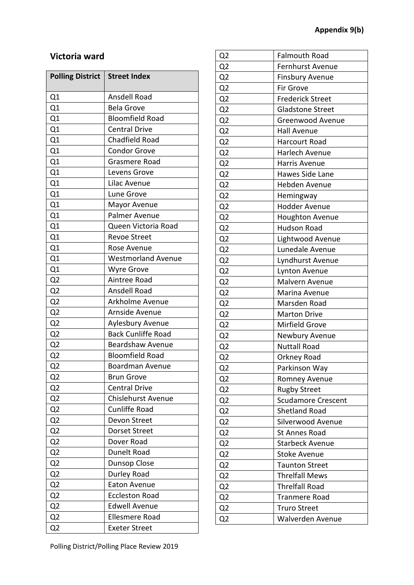## **Victoria ward**

| <b>Polling District</b> | <b>Street Index</b>       |
|-------------------------|---------------------------|
| Q1                      | Ansdell Road              |
| Q1                      | <b>Bela Grove</b>         |
| Q1                      | <b>Bloomfield Road</b>    |
| Q1                      | <b>Central Drive</b>      |
| Q1                      | Chadfield Road            |
| Q1                      | <b>Condor Grove</b>       |
| Q1                      | Grasmere Road             |
| Q1                      | Levens Grove              |
| Q1                      | Lilac Avenue              |
| Q1                      | Lune Grove                |
| Q1                      | Mayor Avenue              |
| Q1                      | Palmer Avenue             |
| Q1                      | Queen Victoria Road       |
| Q1                      | <b>Revoe Street</b>       |
| Q1                      | Rose Avenue               |
| Q1                      | <b>Westmorland Avenue</b> |
| Q1                      | <b>Wyre Grove</b>         |
| Q <sub>2</sub>          | Aintree Road              |
| Q <sub>2</sub>          | Ansdell Road              |
| Q <sub>2</sub>          | Arkholme Avenue           |
| Q2                      | Arnside Avenue            |
| Q <sub>2</sub>          | Aylesbury Avenue          |
| Q <sub>2</sub>          | <b>Back Cunliffe Road</b> |
| Q <sub>2</sub>          | <b>Beardshaw Avenue</b>   |
| Q <sub>2</sub>          | <b>Bloomfield Road</b>    |
| Q <sub>2</sub>          | <b>Boardman Avenue</b>    |
| Q <sub>2</sub>          | <b>Brun Grove</b>         |
| Q <sub>2</sub>          | <b>Central Drive</b>      |
| Q <sub>2</sub>          | <b>Chislehurst Avenue</b> |
| Q <sub>2</sub>          | <b>Cunliffe Road</b>      |
| Q <sub>2</sub>          | Devon Street              |
| Q <sub>2</sub>          | <b>Dorset Street</b>      |
| Q <sub>2</sub>          | Dover Road                |
| Q <sub>2</sub>          | Dunelt Road               |
| Q <sub>2</sub>          | Dunsop Close              |
| Q <sub>2</sub>          | Durley Road               |
| Q <sub>2</sub>          | <b>Eaton Avenue</b>       |
| Q <sub>2</sub>          | <b>Eccleston Road</b>     |
| Q <sub>2</sub>          | <b>Edwell Avenue</b>      |
| Q <sub>2</sub>          | <b>Ellesmere Road</b>     |
| Q <sub>2</sub>          | Exeter Street             |

| Q <sub>2</sub> | <b>Falmouth Road</b>      |
|----------------|---------------------------|
| Q <sub>2</sub> | Fernhurst Avenue          |
| Q <sub>2</sub> | <b>Finsbury Avenue</b>    |
| Q <sub>2</sub> | <b>Fir Grove</b>          |
| Q <sub>2</sub> | <b>Frederick Street</b>   |
| Q <sub>2</sub> | <b>Gladstone Street</b>   |
| Q <sub>2</sub> | Greenwood Avenue          |
| Q <sub>2</sub> | <b>Hall Avenue</b>        |
| Q <sub>2</sub> | Harcourt Road             |
| Q <sub>2</sub> | Harlech Avenue            |
| Q <sub>2</sub> | Harris Avenue             |
| Q <sub>2</sub> | Hawes Side Lane           |
| Q <sub>2</sub> | Hebden Avenue             |
| Q <sub>2</sub> | Hemingway                 |
| Q <sub>2</sub> | <b>Hodder Avenue</b>      |
| Q <sub>2</sub> | Houghton Avenue           |
| Q <sub>2</sub> | <b>Hudson Road</b>        |
| Q <sub>2</sub> | Lightwood Avenue          |
| Q <sub>2</sub> | Lunedale Avenue           |
| Q <sub>2</sub> | Lyndhurst Avenue          |
| Q <sub>2</sub> | Lynton Avenue             |
| Q <sub>2</sub> | Malvern Avenue            |
| Q <sub>2</sub> | Marina Avenue             |
| Q <sub>2</sub> | Marsden Road              |
| Q <sub>2</sub> | <b>Marton Drive</b>       |
| Q <sub>2</sub> | Mirfield Grove            |
| Q <sub>2</sub> | Newbury Avenue            |
| Q <sub>2</sub> | <b>Nuttall Road</b>       |
| Q2             | Orkney Road               |
| Q <sub>2</sub> | Parkinson Way             |
| Q <sub>2</sub> | Romney Avenue             |
| Q <sub>2</sub> | <b>Rugby Street</b>       |
| Q <sub>2</sub> | <b>Scudamore Crescent</b> |
| Q <sub>2</sub> | <b>Shetland Road</b>      |
| Q <sub>2</sub> | Silverwood Avenue         |
| Q <sub>2</sub> | St Annes Road             |
| Q <sub>2</sub> | <b>Starbeck Avenue</b>    |
| Q <sub>2</sub> | <b>Stoke Avenue</b>       |
| Q <sub>2</sub> | <b>Taunton Street</b>     |
| Q <sub>2</sub> | <b>Threlfall Mews</b>     |
| Q <sub>2</sub> | <b>Threlfall Road</b>     |
| Q <sub>2</sub> | <b>Tranmere Road</b>      |
| Q <sub>2</sub> | <b>Truro Street</b>       |
| Q2             | Walverden Avenue          |
|                |                           |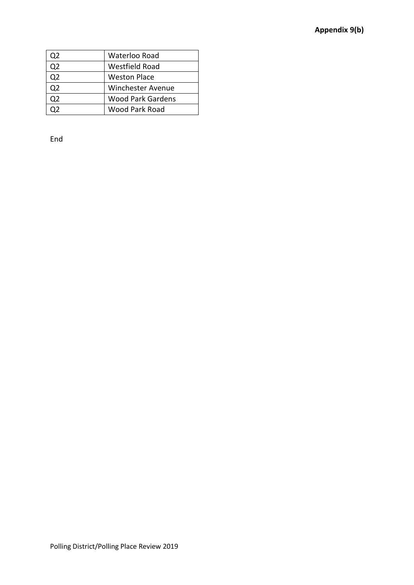| 22 | Waterloo Road            |
|----|--------------------------|
| 22 | Westfield Road           |
| 22 | Weston Place             |
| כמ | <b>Winchester Avenue</b> |
| 22 | <b>Wood Park Gardens</b> |
|    | Wood Park Road           |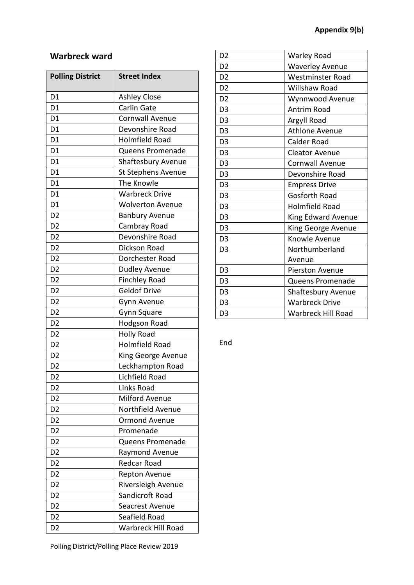### **Warbreck ward**

| <b>Polling District</b> | <b>Street Index</b>       |
|-------------------------|---------------------------|
| D <sub>1</sub>          | <b>Ashley Close</b>       |
| D <sub>1</sub>          | Carlin Gate               |
| D <sub>1</sub>          | <b>Cornwall Avenue</b>    |
| D <sub>1</sub>          | Devonshire Road           |
| D <sub>1</sub>          | <b>Holmfield Road</b>     |
| D <sub>1</sub>          | Queens Promenade          |
| D <sub>1</sub>          | Shaftesbury Avenue        |
| D <sub>1</sub>          | St Stephens Avenue        |
| D <sub>1</sub>          | The Knowle                |
| D <sub>1</sub>          | <b>Warbreck Drive</b>     |
| D <sub>1</sub>          | <b>Wolverton Avenue</b>   |
| D <sub>2</sub>          | <b>Banbury Avenue</b>     |
| D <sub>2</sub>          | Cambray Road              |
| D <sub>2</sub>          | Devonshire Road           |
| D <sub>2</sub>          | Dickson Road              |
| D <sub>2</sub>          | Dorchester Road           |
| D <sub>2</sub>          | <b>Dudley Avenue</b>      |
| D <sub>2</sub>          | <b>Finchley Road</b>      |
| D <sub>2</sub>          | <b>Geldof Drive</b>       |
| D <sub>2</sub>          | Gynn Avenue               |
| D <sub>2</sub>          | Gynn Square               |
| D <sub>2</sub>          | <b>Hodgson Road</b>       |
| D <sub>2</sub>          | <b>Holly Road</b>         |
| D <sub>2</sub>          | <b>Holmfield Road</b>     |
| D <sub>2</sub>          | King George Avenue        |
| D <sub>2</sub>          | Leckhampton Road          |
| D2                      | Lichfield Road            |
| D <sub>2</sub>          | Links Road                |
| D <sub>2</sub>          | <b>Milford Avenue</b>     |
| D <sub>2</sub>          | Northfield Avenue         |
| D <sub>2</sub>          | <b>Ormond Avenue</b>      |
| D <sub>2</sub>          | Promenade                 |
| D <sub>2</sub>          | Queens Promenade          |
| D <sub>2</sub>          | Raymond Avenue            |
| D <sub>2</sub>          | <b>Redcar Road</b>        |
| D <sub>2</sub>          | <b>Repton Avenue</b>      |
| D <sub>2</sub>          | Riversleigh Avenue        |
| D <sub>2</sub>          | Sandicroft Road           |
| D <sub>2</sub>          | Seacrest Avenue           |
| D <sub>2</sub>          | Seafield Road             |
| D <sub>2</sub>          | <b>Warbreck Hill Road</b> |

| D <sub>2</sub> | Warley Road               |
|----------------|---------------------------|
| D <sub>2</sub> | <b>Waverley Avenue</b>    |
| D <sub>2</sub> | <b>Westminster Road</b>   |
| D <sub>2</sub> | Willshaw Road             |
| D <sub>2</sub> | Wynnwood Avenue           |
| D <sub>3</sub> | <b>Antrim Road</b>        |
| D <sub>3</sub> | Argyll Road               |
| D <sub>3</sub> | <b>Athlone Avenue</b>     |
| D <sub>3</sub> | Calder Road               |
| D <sub>3</sub> | <b>Cleator Avenue</b>     |
| D <sub>3</sub> | <b>Cornwall Avenue</b>    |
| D <sub>3</sub> | Devonshire Road           |
| D <sub>3</sub> | <b>Empress Drive</b>      |
| D <sub>3</sub> | <b>Gosforth Road</b>      |
| D <sub>3</sub> | <b>Holmfield Road</b>     |
| D <sub>3</sub> | <b>King Edward Avenue</b> |
| D <sub>3</sub> | King George Avenue        |
| D <sub>3</sub> | Knowle Avenue             |
| D <sub>3</sub> | Northumberland            |
|                | Avenue                    |
| D <sub>3</sub> | <b>Pierston Avenue</b>    |
| D <sub>3</sub> | Queens Promenade          |
| D <sub>3</sub> | <b>Shaftesbury Avenue</b> |
| D <sub>3</sub> | <b>Warbreck Drive</b>     |
| D <sub>3</sub> | <b>Warbreck Hill Road</b> |
|                |                           |